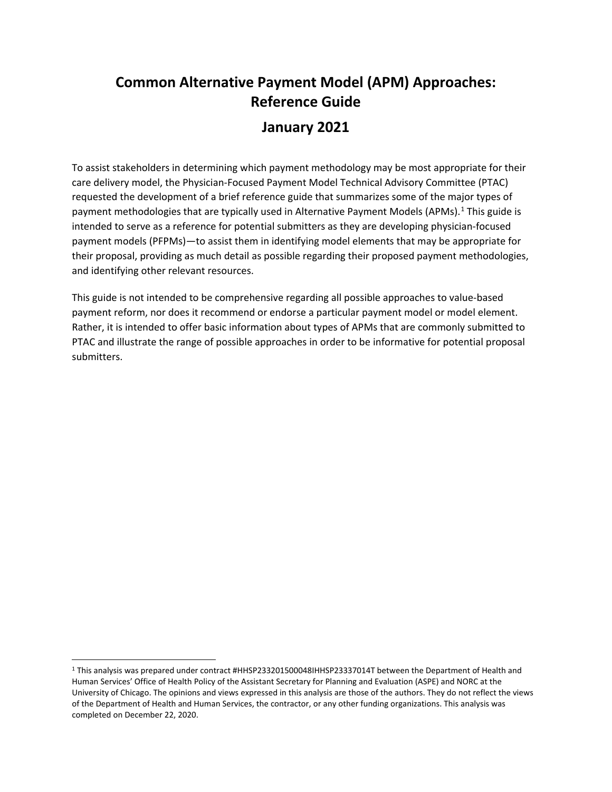# **Common Alternative Payment Model (APM) Approaches: Reference Guide**

# **January 2021**

To assist stakeholders in determining which payment methodology may be most appropriate for their care delivery model, the Physician-Focused Payment Model Technical Advisory Committee (PTAC) requested the development of a brief reference guide that summarizes some of the major types of payment methodologies that are typically used in Alternative Payment Models (APMs).<sup>[1](#page-0-0)</sup> This guide is intended to serve as a reference for potential submitters as they are developing physician-focused payment models (PFPMs)—to assist them in identifying model elements that may be appropriate for their proposal, providing as much detail as possible regarding their proposed payment methodologies, and identifying other relevant resources.

This guide is not intended to be comprehensive regarding all possible approaches to value-based payment reform, nor does it recommend or endorse a particular payment model or model element. Rather, it is intended to offer basic information about types of APMs that are commonly submitted to PTAC and illustrate the range of possible approaches in order to be informative for potential proposal submitters.

 $\overline{\phantom{a}}$ 

<span id="page-0-0"></span><sup>1</sup> This analysis was prepared under contract #HHSP233201500048IHHSP23337014T between the Department of Health and Human Services' Office of Health Policy of the Assistant Secretary for Planning and Evaluation (ASPE) and NORC at the University of Chicago. The opinions and views expressed in this analysis are those of the authors. They do not reflect the views of the Department of Health and Human Services, the contractor, or any other funding organizations. This analysis was completed on December 22, 2020.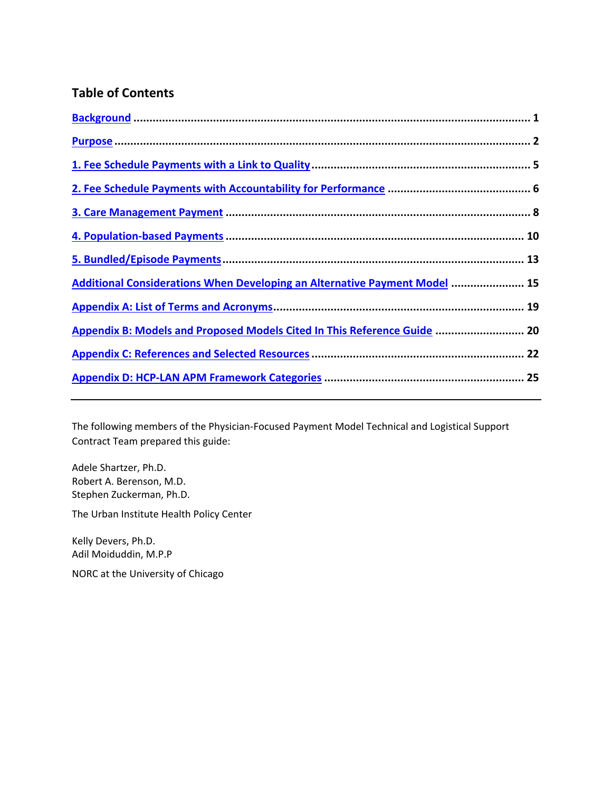## **Table of Contents**

| Additional Considerations When Developing an Alternative Payment Model  15 |  |
|----------------------------------------------------------------------------|--|
|                                                                            |  |
| Appendix B: Models and Proposed Models Cited In This Reference Guide  20   |  |
|                                                                            |  |
|                                                                            |  |
|                                                                            |  |

The following members of the Physician-Focused Payment Model Technical and Logistical Support Contract Team prepared this guide:

Adele Shartzer, Ph.D. Robert A. Berenson, M.D. Stephen Zuckerman, Ph.D.

The Urban Institute Health Policy Center

Kelly Devers, Ph.D. Adil Moiduddin, M.P.P

NORC at the University of Chicago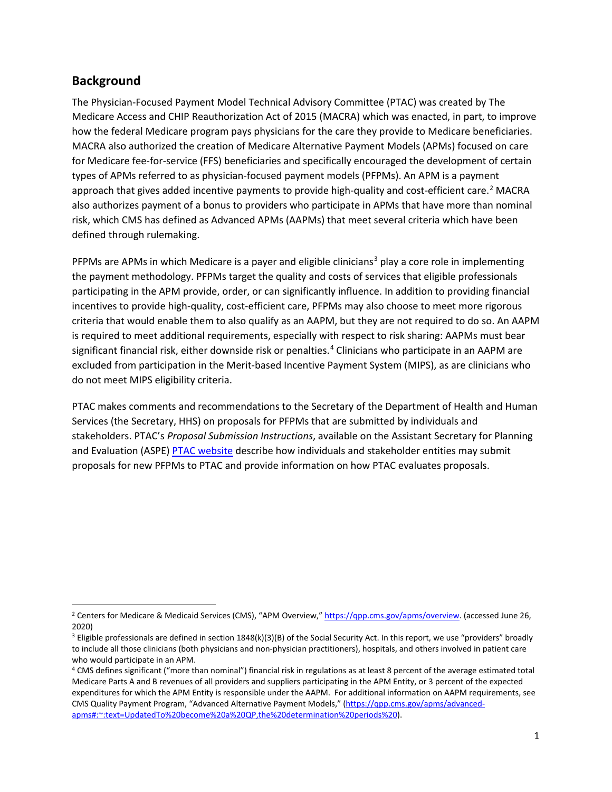## <span id="page-2-0"></span>**Background**

 $\overline{a}$ 

The Physician-Focused Payment Model Technical Advisory Committee (PTAC) was created by The Medicare Access and CHIP Reauthorization Act of 2015 (MACRA) which was enacted, in part, to improve how the federal Medicare program pays physicians for the care they provide to Medicare beneficiaries. MACRA also authorized the creation of Medicare Alternative Payment Models (APMs) focused on care for Medicare fee-for-service (FFS) beneficiaries and specifically encouraged the development of certain types of APMs referred to as physician-focused payment models (PFPMs). An APM is a payment approach that gives added incentive payments to provide high-quality and cost-efficient care.<sup>[2](#page-2-1)</sup> MACRA also authorizes payment of a bonus to providers who participate in APMs that have more than nominal risk, which CMS has defined as Advanced APMs (AAPMs) that meet several criteria which have been defined through rulemaking.

PFPMs are APMs in which Medicare is a payer and eligible clinicians<sup>[3](#page-2-2)</sup> play a core role in implementing the payment methodology. PFPMs target the quality and costs of services that eligible professionals participating in the APM provide, order, or can significantly influence. In addition to providing financial incentives to provide high-quality, cost-efficient care, PFPMs may also choose to meet more rigorous criteria that would enable them to also qualify as an AAPM, but they are not required to do so. An AAPM is required to meet additional requirements, especially with respect to risk sharing: AAPMs must bear significant financial risk, either downside risk or penalties.<sup>[4](#page-2-3)</sup> Clinicians who participate in an AAPM are excluded from participation in the Merit-based Incentive Payment System (MIPS), as are clinicians who do not meet MIPS eligibility criteria.

PTAC makes comments and recommendations to the Secretary of the Department of Health and Human Services (the Secretary, HHS) on proposals for PFPMs that are submitted by individuals and stakeholders. PTAC's *Proposal Submission Instructions*, available on the Assistant Secretary for Planning and Evaluation (ASPE) [PTAC website](https://aspe.hhs.gov/ptac-physician-focused-payment-model-technical-advisory-committee) describe how individuals and stakeholder entities may submit proposals for new PFPMs to PTAC and provide information on how PTAC evaluates proposals.

<span id="page-2-1"></span><sup>&</sup>lt;sup>2</sup> Centers for Medicare & Medicaid Services (CMS), "APM Overview," [https://qpp.cms.gov/apms/overview.](https://qpp.cms.gov/apms/overview) (accessed June 26, 2020)

<span id="page-2-2"></span> $3$  Eligible professionals are defined in section  $1848(k)(3)(B)$  of the Social Security Act. In this report, we use "providers" broadly to include all those clinicians (both physicians and non-physician practitioners), hospitals, and others involved in patient care who would participate in an APM.

<span id="page-2-3"></span><sup>4</sup> CMS defines significant ("more than nominal") financial risk in regulations as at least 8 percent of the average estimated total Medicare Parts A and B revenues of all providers and suppliers participating in the APM Entity, or 3 percent of the expected expenditures for which the APM Entity is responsible under the AAPM. For additional information on AAPM requirements, see CMS Quality Payment Program, "Advanced Alternative Payment Models," [\(https://qpp.cms.gov/apms/advanced](https://qpp.cms.gov/apms/advanced-apms#:%7E:text=UpdatedTo%20become%20a%20QP,the%20determination%20periods%20)[apms#:~:text=UpdatedTo%20become%20a%20QP,the%20determination%20periods%20\)](https://qpp.cms.gov/apms/advanced-apms#:%7E:text=UpdatedTo%20become%20a%20QP,the%20determination%20periods%20).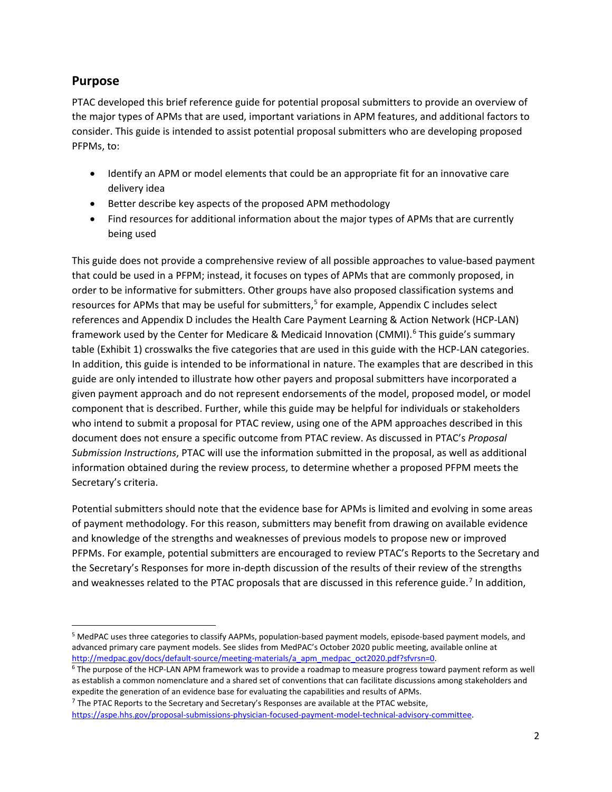## <span id="page-3-0"></span>**Purpose**

l

PTAC developed this brief reference guide for potential proposal submitters to provide an overview of the major types of APMs that are used, important variations in APM features, and additional factors to consider. This guide is intended to assist potential proposal submitters who are developing proposed PFPMs, to:

- Identify an APM or model elements that could be an appropriate fit for an innovative care delivery idea
- Better describe key aspects of the proposed APM methodology
- Find resources for additional information about the major types of APMs that are currently being used

This guide does not provide a comprehensive review of all possible approaches to value-based payment that could be used in a PFPM; instead, it focuses on types of APMs that are commonly proposed, in order to be informative for submitters. Other groups have also proposed classification systems and resources for APMs that may be useful for submitters,<sup>[5](#page-3-1)</sup> for example, Appendix C includes select references and Appendix D includes the Health Care Payment Learning & Action Network (HCP-LAN) framework used by the Center for Medicare & Medicaid Innovation (CMMI).<sup>[6](#page-3-2)</sup> This guide's summary table (Exhibit 1) crosswalks the five categories that are used in this guide with the HCP-LAN categories. In addition, this guide is intended to be informational in nature. The examples that are described in this guide are only intended to illustrate how other payers and proposal submitters have incorporated a given payment approach and do not represent endorsements of the model, proposed model, or model component that is described. Further, while this guide may be helpful for individuals or stakeholders who intend to submit a proposal for PTAC review, using one of the APM approaches described in this document does not ensure a specific outcome from PTAC review. As discussed in PTAC's *Proposal Submission Instructions*, PTAC will use the information submitted in the proposal, as well as additional information obtained during the review process, to determine whether a proposed PFPM meets the Secretary's criteria.

Potential submitters should note that the evidence base for APMs is limited and evolving in some areas of payment methodology. For this reason, submitters may benefit from drawing on available evidence and knowledge of the strengths and weaknesses of previous models to propose new or improved PFPMs. For example, potential submitters are encouraged to review PTAC's Reports to the Secretary and the Secretary's Responses for more in-depth discussion of the results of their review of the strengths and weaknesses related to the PTAC proposals that are discussed in this reference guide.<sup>[7](#page-3-3)</sup> In addition,

<span id="page-3-1"></span><sup>&</sup>lt;sup>5</sup> MedPAC uses three categories to classify AAPMs, population-based payment models, episode-based payment models, and advanced primary care payment models. See slides from MedPAC's October 2020 public meeting, available online at [http://medpac.gov/docs/default-source/meeting-materials/a\\_apm\\_medpac\\_oct2020.pdf?sfvrsn=0.](http://medpac.gov/docs/default-source/meeting-materials/a_apm_medpac_oct2020.pdf?sfvrsn=0)

<span id="page-3-2"></span><sup>&</sup>lt;sup>6</sup> The purpose of the HCP-LAN APM framework was to provide a roadmap to measure progress toward payment reform as well as establish a common nomenclature and a shared set of conventions that can facilitate discussions among stakeholders and expedite the generation of an evidence base for evaluating the capabilities and results of APMs.

<span id="page-3-3"></span> $7$  The PTAC Reports to the Secretary and Secretary's Responses are available at the PTAC website,

[https://aspe.hhs.gov/proposal-submissions-physician-focused-payment-model-technical-advisory-committee.](https://aspe.hhs.gov/proposal-submissions-physician-focused-payment-model-technical-advisory-committee)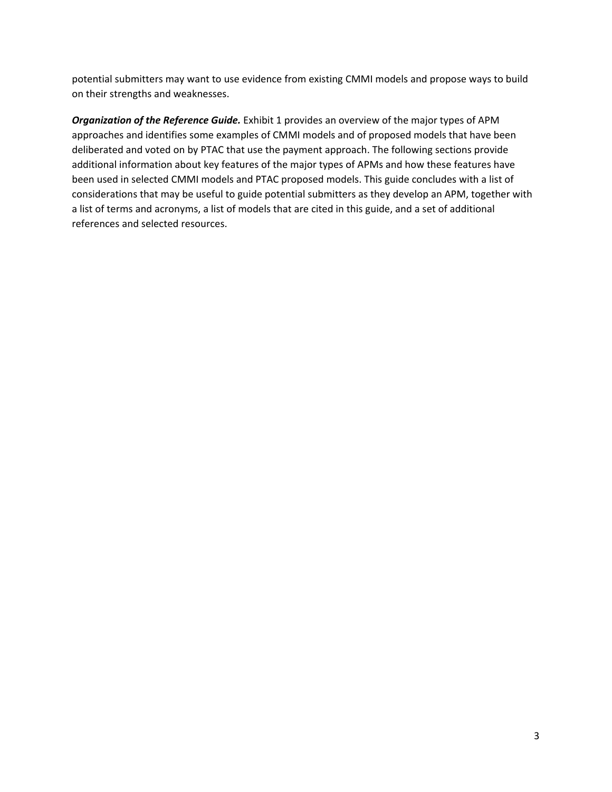potential submitters may want to use evidence from existing CMMI models and propose ways to build on their strengths and weaknesses.

*Organization of the Reference Guide.* Exhibit 1 provides an overview of the major types of APM approaches and identifies some examples of CMMI models and of proposed models that have been deliberated and voted on by PTAC that use the payment approach. The following sections provide additional information about key features of the major types of APMs and how these features have been used in selected CMMI models and PTAC proposed models. This guide concludes with a list of considerations that may be useful to guide potential submitters as they develop an APM, together with a list of terms and acronyms, a list of models that are cited in this guide, and a set of additional references and selected resources.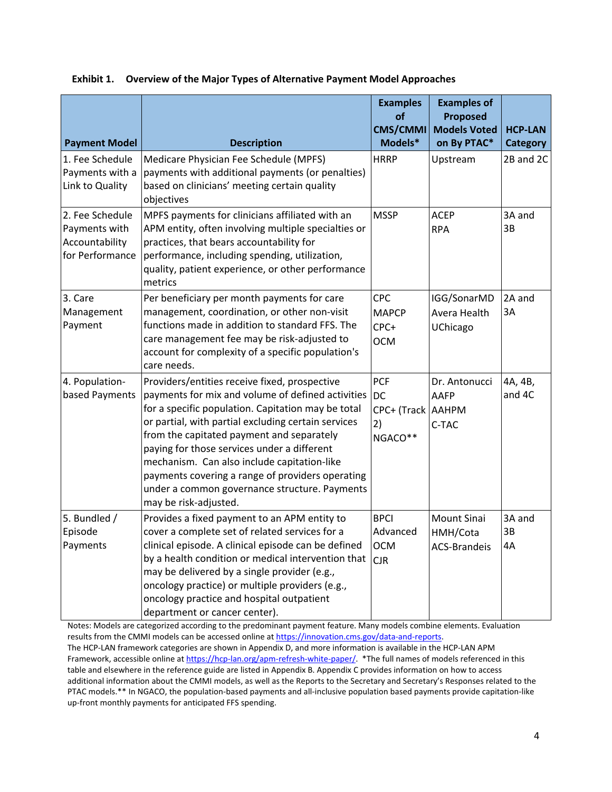| <b>Payment Model</b>                                                  | <b>Description</b>                                                                                                                                                                                                                                                                                                                                                                                                                                                                       | <b>Examples</b><br><b>of</b><br><b>CMS/CMMI</b><br>Models*      | <b>Examples of</b><br>Proposed<br><b>Models Voted</b><br>on By PTAC* | <b>HCP-LAN</b><br><b>Category</b> |
|-----------------------------------------------------------------------|------------------------------------------------------------------------------------------------------------------------------------------------------------------------------------------------------------------------------------------------------------------------------------------------------------------------------------------------------------------------------------------------------------------------------------------------------------------------------------------|-----------------------------------------------------------------|----------------------------------------------------------------------|-----------------------------------|
| 1. Fee Schedule<br>Payments with a<br>Link to Quality                 | Medicare Physician Fee Schedule (MPFS)<br>payments with additional payments (or penalties)<br>based on clinicians' meeting certain quality<br>objectives                                                                                                                                                                                                                                                                                                                                 | <b>HRRP</b>                                                     | Upstream                                                             | 2B and 2C                         |
| 2. Fee Schedule<br>Payments with<br>Accountability<br>for Performance | MPFS payments for clinicians affiliated with an<br>APM entity, often involving multiple specialties or<br>practices, that bears accountability for<br>performance, including spending, utilization,<br>quality, patient experience, or other performance<br>metrics                                                                                                                                                                                                                      | <b>MSSP</b>                                                     | <b>ACEP</b><br><b>RPA</b>                                            | 3A and<br>3B                      |
| 3. Care<br>Management<br>Payment                                      | Per beneficiary per month payments for care<br>management, coordination, or other non-visit<br>functions made in addition to standard FFS. The<br>care management fee may be risk-adjusted to<br>account for complexity of a specific population's<br>care needs.                                                                                                                                                                                                                        | CPC<br><b>MAPCP</b><br>CPC+<br><b>OCM</b>                       | IGG/SonarMD<br>Avera Health<br>UChicago                              | 2A and<br>3A                      |
| 4. Population-<br>based Payments                                      | Providers/entities receive fixed, prospective<br>payments for mix and volume of defined activities<br>for a specific population. Capitation may be total<br>or partial, with partial excluding certain services<br>from the capitated payment and separately<br>paying for those services under a different<br>mechanism. Can also include capitation-like<br>payments covering a range of providers operating<br>under a common governance structure. Payments<br>may be risk-adjusted. | <b>PCF</b><br><b>DC</b><br>CPC+ (Track   AAHPM<br>2)<br>NGACO** | Dr. Antonucci<br>AAFP<br>C-TAC                                       | 4A, 4B,<br>and 4C                 |
| 5. Bundled /<br>Episode<br>Payments                                   | Provides a fixed payment to an APM entity to<br>cover a complete set of related services for a<br>clinical episode. A clinical episode can be defined<br>by a health condition or medical intervention that<br>may be delivered by a single provider (e.g.,<br>oncology practice) or multiple providers (e.g.,<br>oncology practice and hospital outpatient                                                                                                                              | <b>BPCI</b><br>Advanced<br><b>OCM</b><br><b>CJR</b>             | <b>Mount Sinai</b><br>HMH/Cota<br><b>ACS-Brandeis</b>                | 3A and<br>3B<br>4A                |

#### **Exhibit 1. Overview of the Major Types of Alternative Payment Model Approaches**

Notes: Models are categorized according to the predominant payment feature. Many models combine elements. Evaluation results from the CMMI models can be accessed online at [https://innovation.cms.gov/data-and-reports.](https://innovation.cms.gov/data-and-reports) The HCP-LAN framework categories are shown in Appendix D, and more information is available in the HCP-LAN APM Framework, accessible online at [https://hcp-lan.org/apm-refresh-white-paper/.](https://hcp-lan.org/apm-refresh-white-paper/) \*The full names of models referenced in this table and elsewhere in the reference guide are listed in Appendix B. Appendix C provides information on how to access additional information about the CMMI models, as well as the Reports to the Secretary and Secretary's Responses related to the

department or cancer center).

PTAC models.\*\* In NGACO, the population-based payments and all-inclusive population based payments provide capitation-like up-front monthly payments for anticipated FFS spending.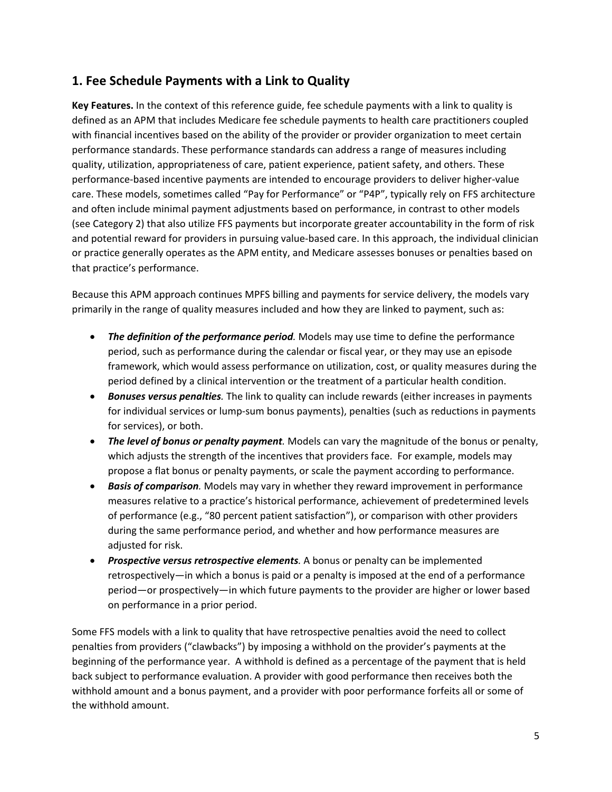## <span id="page-6-0"></span>**1. Fee Schedule Payments with a Link to Quality**

**Key Features.** In the context of this reference guide, fee schedule payments with a link to quality is defined as an APM that includes Medicare fee schedule payments to health care practitioners coupled with financial incentives based on the ability of the provider or provider organization to meet certain performance standards. These performance standards can address a range of measures including quality, utilization, appropriateness of care, patient experience, patient safety, and others. These performance-based incentive payments are intended to encourage providers to deliver higher-value care. These models, sometimes called "Pay for Performance" or "P4P", typically rely on FFS architecture and often include minimal payment adjustments based on performance, in contrast to other models (see Category 2) that also utilize FFS payments but incorporate greater accountability in the form of risk and potential reward for providers in pursuing value-based care. In this approach, the individual clinician or practice generally operates as the APM entity, and Medicare assesses bonuses or penalties based on that practice's performance.

Because this APM approach continues MPFS billing and payments for service delivery, the models vary primarily in the range of quality measures included and how they are linked to payment, such as:

- *The definition of the performance period.* Models may use time to define the performance period, such as performance during the calendar or fiscal year, or they may use an episode framework, which would assess performance on utilization, cost, or quality measures during the period defined by a clinical intervention or the treatment of a particular health condition.
- *Bonuses versus penalties.* The link to quality can include rewards (either increases in payments for individual services or lump-sum bonus payments), penalties (such as reductions in payments for services), or both.
- *The level of bonus or penalty payment.* Models can vary the magnitude of the bonus or penalty, which adjusts the strength of the incentives that providers face. For example, models may propose a flat bonus or penalty payments, or scale the payment according to performance.
- *Basis of comparison.* Models may vary in whether they reward improvement in performance measures relative to a practice's historical performance, achievement of predetermined levels of performance (e.g., "80 percent patient satisfaction"), or comparison with other providers during the same performance period, and whether and how performance measures are adjusted for risk.
- *Prospective versus retrospective elements.* A bonus or penalty can be implemented retrospectively—in which a bonus is paid or a penalty is imposed at the end of a performance period—or prospectively—in which future payments to the provider are higher or lower based on performance in a prior period.

Some FFS models with a link to quality that have retrospective penalties avoid the need to collect penalties from providers ("clawbacks") by imposing a withhold on the provider's payments at the beginning of the performance year. A withhold is defined as a percentage of the payment that is held back subject to performance evaluation. A provider with good performance then receives both the withhold amount and a bonus payment, and a provider with poor performance forfeits all or some of the withhold amount.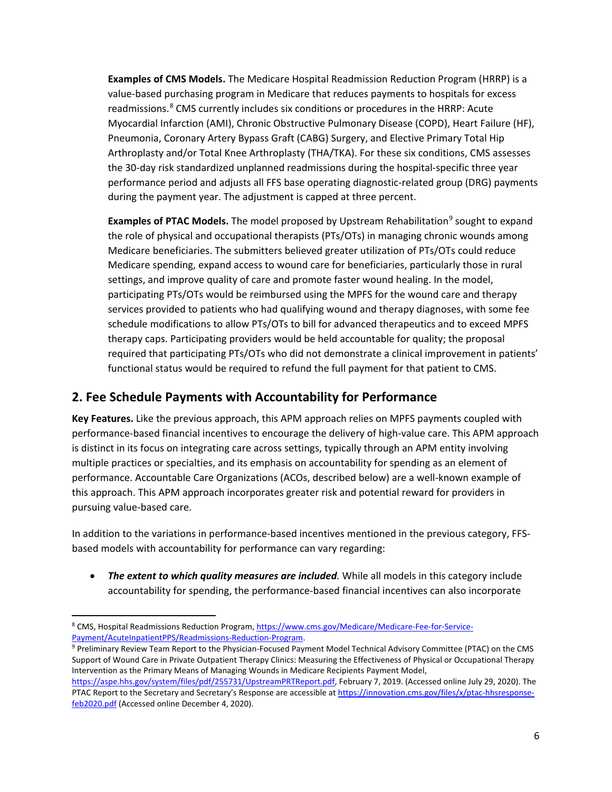**Examples of CMS Models.** The Medicare Hospital Readmission Reduction Program (HRRP) is a value-based purchasing program in Medicare that reduces payments to hospitals for excess readmissions.<sup>[8](#page-7-1)</sup> CMS currently includes six conditions or procedures in the HRRP: Acute Myocardial Infarction (AMI), Chronic Obstructive Pulmonary Disease (COPD), Heart Failure (HF), Pneumonia, Coronary Artery Bypass Graft (CABG) Surgery, and Elective Primary Total Hip Arthroplasty and/or Total Knee Arthroplasty (THA/TKA). For these six conditions, CMS assesses the 30-day risk standardized unplanned readmissions during the hospital-specific three year performance period and adjusts all FFS base operating diagnostic-related group (DRG) payments during the payment year. The adjustment is capped at three percent.

**Examples of PTAC Models.** The model proposed by Upstream Rehabilitation<sup>[9](#page-7-2)</sup> sought to expand the role of physical and occupational therapists (PTs/OTs) in managing chronic wounds among Medicare beneficiaries. The submitters believed greater utilization of PTs/OTs could reduce Medicare spending, expand access to wound care for beneficiaries, particularly those in rural settings, and improve quality of care and promote faster wound healing. In the model, participating PTs/OTs would be reimbursed using the MPFS for the wound care and therapy services provided to patients who had qualifying wound and therapy diagnoses, with some fee schedule modifications to allow PTs/OTs to bill for advanced therapeutics and to exceed MPFS therapy caps. Participating providers would be held accountable for quality; the proposal required that participating PTs/OTs who did not demonstrate a clinical improvement in patients' functional status would be required to refund the full payment for that patient to CMS.

## <span id="page-7-0"></span>**2. Fee Schedule Payments with Accountability for Performance**

**Key Features.** Like the previous approach, this APM approach relies on MPFS payments coupled with performance-based financial incentives to encourage the delivery of high-value care. This APM approach is distinct in its focus on integrating care across settings, typically through an APM entity involving multiple practices or specialties, and its emphasis on accountability for spending as an element of performance. Accountable Care Organizations (ACOs, described below) are a well-known example of this approach. This APM approach incorporates greater risk and potential reward for providers in pursuing value-based care.

In addition to the variations in performance-based incentives mentioned in the previous category, FFSbased models with accountability for performance can vary regarding:

• *The extent to which quality measures are included.* While all models in this category include accountability for spending, the performance-based financial incentives can also incorporate

l

<span id="page-7-1"></span><sup>8</sup> CMS, Hospital Readmissions Reduction Program, [https://www.cms.gov/Medicare/Medicare-Fee-for-Service-](https://www.cms.gov/Medicare/Medicare-Fee-for-Service-Payment/AcuteInpatientPPS/Readmissions-Reduction-Program)[Payment/AcuteInpatientPPS/Readmissions-Reduction-Program.](https://www.cms.gov/Medicare/Medicare-Fee-for-Service-Payment/AcuteInpatientPPS/Readmissions-Reduction-Program)

<span id="page-7-2"></span><sup>9</sup> Preliminary Review Team Report to the Physician-Focused Payment Model Technical Advisory Committee (PTAC) on the CMS Support of Wound Care in Private Outpatient Therapy Clinics: Measuring the Effectiveness of Physical or Occupational Therapy Intervention as the Primary Means of Managing Wounds in Medicare Recipients Payment Model,

[https://aspe.hhs.gov/system/files/pdf/255731/UpstreamPRTReport.pdf,](https://aspe.hhs.gov/system/files/pdf/255731/UpstreamPRTReport.pdf) February 7, 2019. (Accessed online July 29, 2020). The PTAC Report to the Secretary and Secretary's Response are accessible at [https://innovation.cms.gov/files/x/ptac-hhsresponse](https://innovation.cms.gov/files/x/ptac-hhsresponse-feb2020.pdf)[feb2020.pdf](https://innovation.cms.gov/files/x/ptac-hhsresponse-feb2020.pdf) (Accessed online December 4, 2020).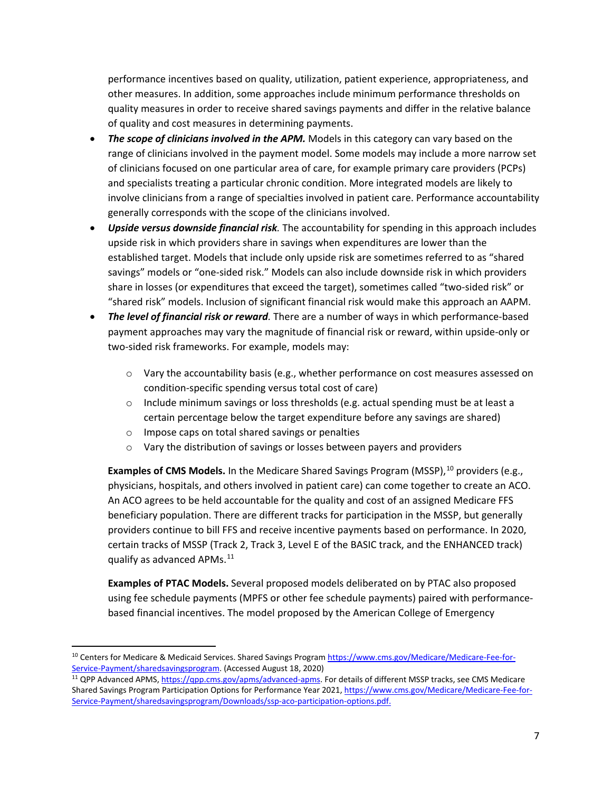performance incentives based on quality, utilization, patient experience, appropriateness, and other measures. In addition, some approaches include minimum performance thresholds on quality measures in order to receive shared savings payments and differ in the relative balance of quality and cost measures in determining payments.

- *The scope of clinicians involved in the APM.* Models in this category can vary based on the range of clinicians involved in the payment model. Some models may include a more narrow set of clinicians focused on one particular area of care, for example primary care providers (PCPs) and specialists treating a particular chronic condition. More integrated models are likely to involve clinicians from a range of specialties involved in patient care. Performance accountability generally corresponds with the scope of the clinicians involved.
- *Upside versus downside financial risk.* The accountability for spending in this approach includes upside risk in which providers share in savings when expenditures are lower than the established target. Models that include only upside risk are sometimes referred to as "shared savings" models or "one-sided risk." Models can also include downside risk in which providers share in losses (or expenditures that exceed the target), sometimes called "two-sided risk" or "shared risk" models. Inclusion of significant financial risk would make this approach an AAPM.
- *The level of financial risk or reward.* There are a number of ways in which performance-based payment approaches may vary the magnitude of financial risk or reward, within upside-only or two-sided risk frameworks. For example, models may:
	- o Vary the accountability basis (e.g., whether performance on cost measures assessed on condition-specific spending versus total cost of care)
	- $\circ$  Include minimum savings or loss thresholds (e.g. actual spending must be at least a certain percentage below the target expenditure before any savings are shared)
	- o Impose caps on total shared savings or penalties

 $\overline{\phantom{a}}$ 

o Vary the distribution of savings or losses between payers and providers

**Examples of CMS Models.** In the Medicare Shared Savings Program (MSSP), <sup>[10](#page-8-0)</sup> providers (e.g., physicians, hospitals, and others involved in patient care) can come together to create an ACO. An ACO agrees to be held accountable for the quality and cost of an assigned Medicare FFS beneficiary population. There are different tracks for participation in the MSSP, but generally providers continue to bill FFS and receive incentive payments based on performance. In 2020, certain tracks of MSSP (Track 2, Track 3, Level E of the BASIC track, and the ENHANCED track) qualify as advanced APMs.<sup>[11](#page-8-1)</sup>

**Examples of PTAC Models.** Several proposed models deliberated on by PTAC also proposed using fee schedule payments (MPFS or other fee schedule payments) paired with performancebased financial incentives. The model proposed by the American College of Emergency

<span id="page-8-0"></span><sup>10</sup> Centers for Medicare & Medicaid Services. Shared Savings Program [https://www.cms.gov/Medicare/Medicare-Fee-for-](https://www.cms.gov/Medicare/Medicare-Fee-for-Service-Payment/sharedsavingsprogram)[Service-Payment/sharedsavingsprogram.](https://www.cms.gov/Medicare/Medicare-Fee-for-Service-Payment/sharedsavingsprogram) (Accessed August 18, 2020)

<span id="page-8-1"></span><sup>&</sup>lt;sup>11</sup> QPP Advanced APMS, [https://qpp.cms.gov/apms/advanced-apms.](https://qpp.cms.gov/apms/advanced-apms) For details of different MSSP tracks, see CMS Medicare Shared Savings Program Participation Options for Performance Year 2021, [https://www.cms.gov/Medicare/Medicare-Fee-for-](https://www.cms.gov/Medicare/Medicare-Fee-for-Service-Payment/sharedsavingsprogram/Downloads/ssp-aco-participation-options.pdf)[Service-Payment/sharedsavingsprogram/Downloads/ssp-aco-participation-options.pdf.](https://www.cms.gov/Medicare/Medicare-Fee-for-Service-Payment/sharedsavingsprogram/Downloads/ssp-aco-participation-options.pdf)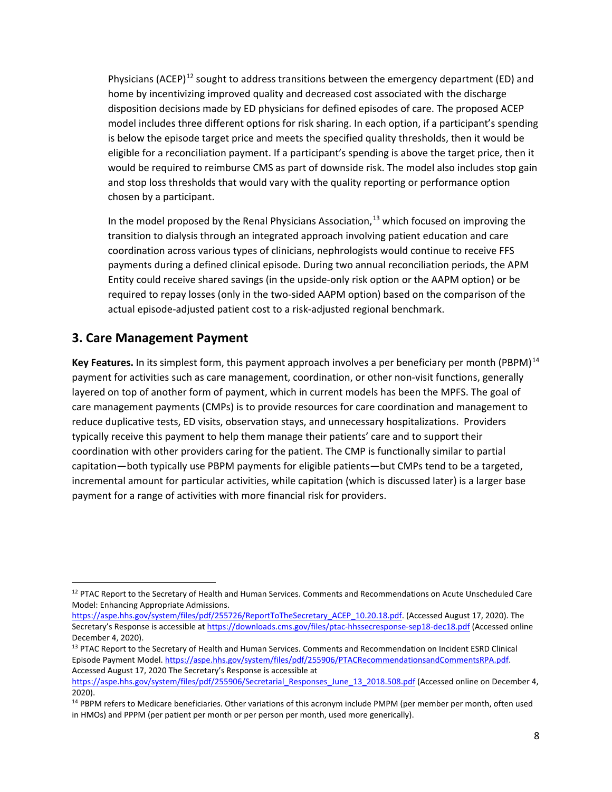Physicians (ACEP)<sup>[12](#page-9-1)</sup> sought to address transitions between the emergency department (ED) and home by incentivizing improved quality and decreased cost associated with the discharge disposition decisions made by ED physicians for defined episodes of care. The proposed ACEP model includes three different options for risk sharing. In each option, if a participant's spending is below the episode target price and meets the specified quality thresholds, then it would be eligible for a reconciliation payment. If a participant's spending is above the target price, then it would be required to reimburse CMS as part of downside risk. The model also includes stop gain and stop loss thresholds that would vary with the quality reporting or performance option chosen by a participant.

In the model proposed by the Renal Physicians Association, $^{13}$  $^{13}$  $^{13}$  which focused on improving the transition to dialysis through an integrated approach involving patient education and care coordination across various types of clinicians, nephrologists would continue to receive FFS payments during a defined clinical episode. During two annual reconciliation periods, the APM Entity could receive shared savings (in the upside-only risk option or the AAPM option) or be required to repay losses (only in the two-sided AAPM option) based on the comparison of the actual episode-adjusted patient cost to a risk-adjusted regional benchmark.

## <span id="page-9-0"></span>**3. Care Management Payment**

 $\overline{\phantom{a}}$ 

Key Features. In its simplest form, this payment approach involves a per beneficiary per month (PBPM)<sup>[14](#page-9-3)</sup> payment for activities such as care management, coordination, or other non-visit functions, generally layered on top of another form of payment, which in current models has been the MPFS. The goal of care management payments (CMPs) is to provide resources for care coordination and management to reduce duplicative tests, ED visits, observation stays, and unnecessary hospitalizations. Providers typically receive this payment to help them manage their patients' care and to support their coordination with other providers caring for the patient. The CMP is functionally similar to partial capitation—both typically use PBPM payments for eligible patients—but CMPs tend to be a targeted, incremental amount for particular activities, while capitation (which is discussed later) is a larger base payment for a range of activities with more financial risk for providers.

<span id="page-9-1"></span><sup>&</sup>lt;sup>12</sup> PTAC Report to the Secretary of Health and Human Services. Comments and Recommendations on Acute Unscheduled Care Model: Enhancing Appropriate Admissions.

[https://aspe.hhs.gov/system/files/pdf/255726/ReportToTheSecretary\\_ACEP\\_10.20.18.pdf.](https://aspe.hhs.gov/system/files/pdf/255726/ReportToTheSecretary_ACEP_10.20.18.pdf) (Accessed August 17, 2020). The Secretary's Response is accessible at <https://downloads.cms.gov/files/ptac-hhssecresponse-sep18-dec18.pdf> (Accessed online December 4, 2020).

<span id="page-9-2"></span><sup>&</sup>lt;sup>13</sup> PTAC Report to the Secretary of Health and Human Services. Comments and Recommendation on Incident ESRD Clinical Episode Payment Model[. https://aspe.hhs.gov/system/files/pdf/255906/PTACRecommendationsandCommentsRPA.pdf.](https://aspe.hhs.gov/system/files/pdf/255906/PTACRecommendationsandCommentsRPA.pdf) Accessed August 17, 2020 The Secretary's Response is accessible at

[https://aspe.hhs.gov/system/files/pdf/255906/Secretarial\\_Responses\\_June\\_13\\_2018.508.pdf](https://aspe.hhs.gov/system/files/pdf/255906/Secretarial_Responses_June_13_2018.508.pdf) (Accessed online on December 4, 2020).

<span id="page-9-3"></span><sup>&</sup>lt;sup>14</sup> PBPM refers to Medicare beneficiaries. Other variations of this acronym include PMPM (per member per month, often used in HMOs) and PPPM (per patient per month or per person per month, used more generically).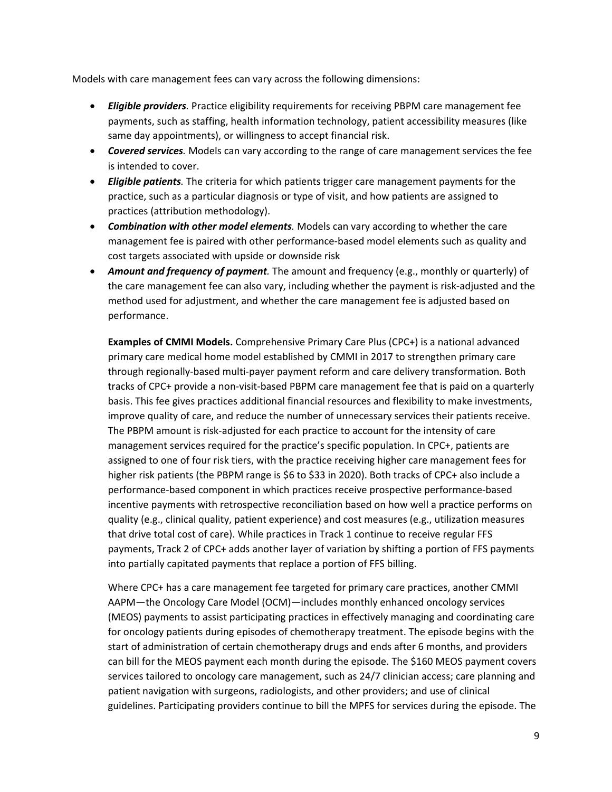Models with care management fees can vary across the following dimensions:

- *Eligible providers.* Practice eligibility requirements for receiving PBPM care management fee payments, such as staffing, health information technology, patient accessibility measures (like same day appointments), or willingness to accept financial risk.
- *Covered services.* Models can vary according to the range of care management services the fee is intended to cover.
- *Eligible patients.* The criteria for which patients trigger care management payments for the practice, such as a particular diagnosis or type of visit, and how patients are assigned to practices (attribution methodology).
- *Combination with other model elements.* Models can vary according to whether the care management fee is paired with other performance-based model elements such as quality and cost targets associated with upside or downside risk
- *Amount and frequency of payment.* The amount and frequency (e.g., monthly or quarterly) of the care management fee can also vary, including whether the payment is risk-adjusted and the method used for adjustment, and whether the care management fee is adjusted based on performance.

**Examples of CMMI Models.** Comprehensive Primary Care Plus (CPC+) is a national advanced primary care medical home model established by CMMI in 2017 to strengthen primary care through regionally-based multi-payer payment reform and care delivery transformation. Both tracks of CPC+ provide a non-visit-based PBPM care management fee that is paid on a quarterly basis. This fee gives practices additional financial resources and flexibility to make investments, improve quality of care, and reduce the number of unnecessary services their patients receive. The PBPM amount is risk-adjusted for each practice to account for the intensity of care management services required for the practice's specific population. In CPC+, patients are assigned to one of four risk tiers, with the practice receiving higher care management fees for higher risk patients (the PBPM range is \$6 to \$33 in 2020). Both tracks of CPC+ also include a performance-based component in which practices receive prospective performance-based incentive payments with retrospective reconciliation based on how well a practice performs on quality (e.g., clinical quality, patient experience) and cost measures (e.g., utilization measures that drive total cost of care). While practices in Track 1 continue to receive regular FFS payments, Track 2 of CPC+ adds another layer of variation by shifting a portion of FFS payments into partially capitated payments that replace a portion of FFS billing.

Where CPC+ has a care management fee targeted for primary care practices, another CMMI AAPM—the Oncology Care Model (OCM)—includes monthly enhanced oncology services (MEOS) payments to assist participating practices in effectively managing and coordinating care for oncology patients during episodes of chemotherapy treatment. The episode begins with the start of administration of certain chemotherapy drugs and ends after 6 months, and providers can bill for the MEOS payment each month during the episode. The \$160 MEOS payment covers services tailored to oncology care management, such as 24/7 clinician access; care planning and patient navigation with surgeons, radiologists, and other providers; and use of clinical guidelines. Participating providers continue to bill the MPFS for services during the episode. The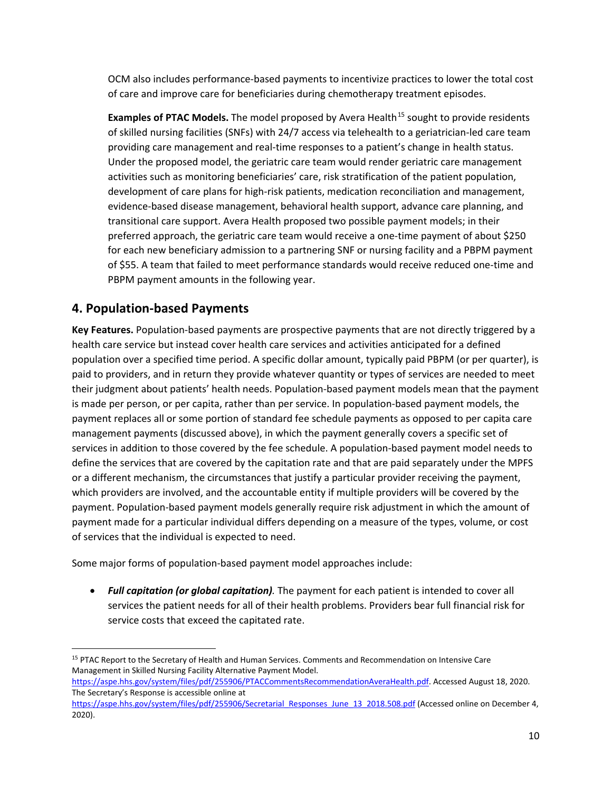OCM also includes performance-based payments to incentivize practices to lower the total cost of care and improve care for beneficiaries during chemotherapy treatment episodes.

**Examples of PTAC Models.** The model proposed by Avera Health<sup>[15](#page-11-1)</sup> sought to provide residents of skilled nursing facilities (SNFs) with 24/7 access via telehealth to a geriatrician-led care team providing care management and real-time responses to a patient's change in health status. Under the proposed model, the geriatric care team would render geriatric care management activities such as monitoring beneficiaries' care, risk stratification of the patient population, development of care plans for high-risk patients, medication reconciliation and management, evidence-based disease management, behavioral health support, advance care planning, and transitional care support. Avera Health proposed two possible payment models; in their preferred approach, the geriatric care team would receive a one-time payment of about \$250 for each new beneficiary admission to a partnering SNF or nursing facility and a PBPM payment of \$55. A team that failed to meet performance standards would receive reduced one-time and PBPM payment amounts in the following year.

## <span id="page-11-0"></span>**4. Population-based Payments**

l

**Key Features.** Population-based payments are prospective payments that are not directly triggered by a health care service but instead cover health care services and activities anticipated for a defined population over a specified time period. A specific dollar amount, typically paid PBPM (or per quarter), is paid to providers, and in return they provide whatever quantity or types of services are needed to meet their judgment about patients' health needs. Population-based payment models mean that the payment is made per person, or per capita, rather than per service. In population-based payment models, the payment replaces all or some portion of standard fee schedule payments as opposed to per capita care management payments (discussed above), in which the payment generally covers a specific set of services in addition to those covered by the fee schedule. A population-based payment model needs to define the services that are covered by the capitation rate and that are paid separately under the MPFS or a different mechanism, the circumstances that justify a particular provider receiving the payment, which providers are involved, and the accountable entity if multiple providers will be covered by the payment. Population-based payment models generally require risk adjustment in which the amount of payment made for a particular individual differs depending on a measure of the types, volume, or cost of services that the individual is expected to need.

Some major forms of population-based payment model approaches include:

• *Full capitation (or global capitation).* The payment for each patient is intended to cover all services the patient needs for all of their health problems. Providers bear full financial risk for service costs that exceed the capitated rate.

<span id="page-11-1"></span><sup>&</sup>lt;sup>15</sup> PTAC Report to the Secretary of Health and Human Services. Comments and Recommendation on Intensive Care Management in Skilled Nursing Facility Alternative Payment Model.

[https://aspe.hhs.gov/system/files/pdf/255906/PTACCommentsRecommendationAveraHealth.pdf.](https://aspe.hhs.gov/system/files/pdf/255906/PTACCommentsRecommendationAveraHealth.pdf) Accessed August 18, 2020. The Secretary's Response is accessible online at

[https://aspe.hhs.gov/system/files/pdf/255906/Secretarial\\_Responses\\_June\\_13\\_2018.508.pdf](https://aspe.hhs.gov/system/files/pdf/255906/Secretarial_Responses_June_13_2018.508.pdfhttps:/aspe.hhs.gov/system/files/pdf/255906/Secretarial_Responses_June_13_2018.508.pdf) (Accessed online on December 4, 2020).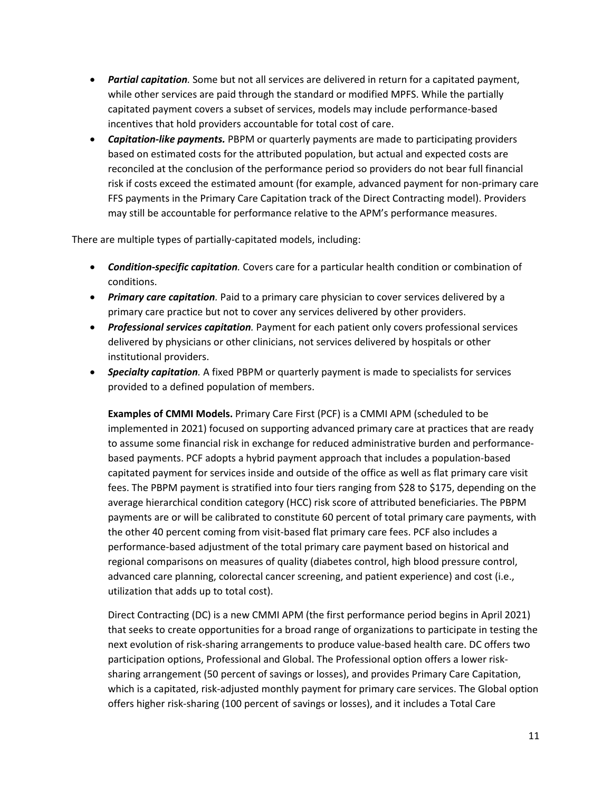- *Partial capitation.* Some but not all services are delivered in return for a capitated payment, while other services are paid through the standard or modified MPFS. While the partially capitated payment covers a subset of services, models may include performance-based incentives that hold providers accountable for total cost of care.
- *Capitation-like payments.* PBPM or quarterly payments are made to participating providers based on estimated costs for the attributed population, but actual and expected costs are reconciled at the conclusion of the performance period so providers do not bear full financial risk if costs exceed the estimated amount (for example, advanced payment for non-primary care FFS payments in the Primary Care Capitation track of the Direct Contracting model). Providers may still be accountable for performance relative to the APM's performance measures.

There are multiple types of partially-capitated models, including:

- *Condition-specific capitation.* Covers care for a particular health condition or combination of conditions.
- *Primary care capitation.* Paid to a primary care physician to cover services delivered by a primary care practice but not to cover any services delivered by other providers.
- *Professional services capitation.* Payment for each patient only covers professional services delivered by physicians or other clinicians, not services delivered by hospitals or other institutional providers.
- *Specialty capitation.* A fixed PBPM or quarterly payment is made to specialists for services provided to a defined population of members.

**Examples of CMMI Models.** Primary Care First (PCF) is a CMMI APM (scheduled to be implemented in 2021) focused on supporting advanced primary care at practices that are ready to assume some financial risk in exchange for reduced administrative burden and performancebased payments. PCF adopts a hybrid payment approach that includes a population-based capitated payment for services inside and outside of the office as well as flat primary care visit fees. The PBPM payment is stratified into four tiers ranging from \$28 to \$175, depending on the average hierarchical condition category (HCC) risk score of attributed beneficiaries. The PBPM payments are or will be calibrated to constitute 60 percent of total primary care payments, with the other 40 percent coming from visit-based flat primary care fees. PCF also includes a performance-based adjustment of the total primary care payment based on historical and regional comparisons on measures of quality (diabetes control, high blood pressure control, advanced care planning, colorectal cancer screening, and patient experience) and cost (i.e., utilization that adds up to total cost).

Direct Contracting (DC) is a new CMMI APM (the first performance period begins in April 2021) that seeks to create opportunities for a broad range of organizations to participate in testing the next evolution of risk-sharing arrangements to produce value-based health care. DC offers two participation options, Professional and Global. The Professional option offers a lower risksharing arrangement (50 percent of savings or losses), and provides Primary Care Capitation, which is a capitated, risk-adjusted monthly payment for primary care services. The Global option offers higher risk-sharing (100 percent of savings or losses), and it includes a Total Care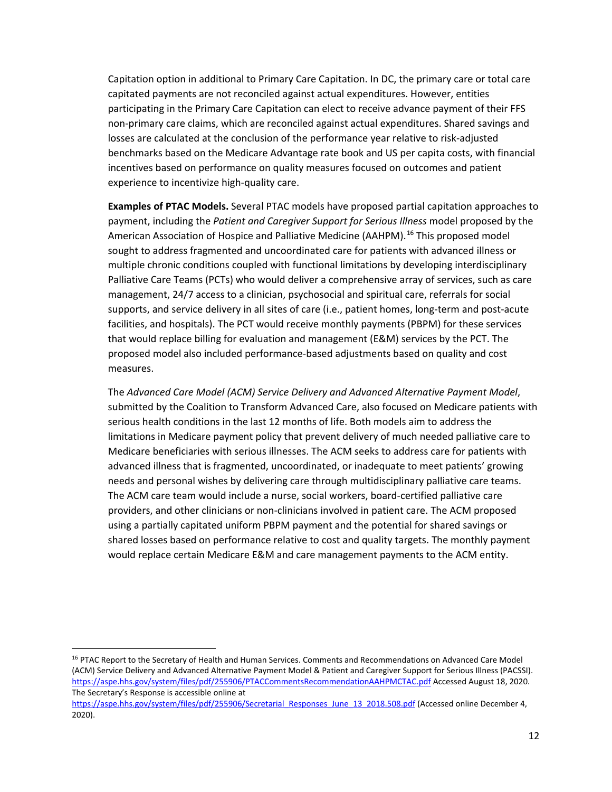Capitation option in additional to Primary Care Capitation. In DC, the primary care or total care capitated payments are not reconciled against actual expenditures. However, entities participating in the Primary Care Capitation can elect to receive advance payment of their FFS non-primary care claims, which are reconciled against actual expenditures. Shared savings and losses are calculated at the conclusion of the performance year relative to risk-adjusted benchmarks based on the Medicare Advantage rate book and US per capita costs, with financial incentives based on performance on quality measures focused on outcomes and patient experience to incentivize high-quality care.

**Examples of PTAC Models.** Several PTAC models have proposed partial capitation approaches to payment, including the *Patient and Caregiver Support for Serious Illness* model proposed by the American Association of Hospice and Palliative Medicine (AAHPM).<sup>[16](#page-13-0)</sup> This proposed model sought to address fragmented and uncoordinated care for patients with advanced illness or multiple chronic conditions coupled with functional limitations by developing interdisciplinary Palliative Care Teams (PCTs) who would deliver a comprehensive array of services, such as care management, 24/7 access to a clinician, psychosocial and spiritual care, referrals for social supports, and service delivery in all sites of care (i.e., patient homes, long-term and post-acute facilities, and hospitals). The PCT would receive monthly payments (PBPM) for these services that would replace billing for evaluation and management (E&M) services by the PCT. The proposed model also included performance-based adjustments based on quality and cost measures.

The *Advanced Care Model (ACM) Service Delivery and Advanced Alternative Payment Model*, submitted by the Coalition to Transform Advanced Care, also focused on Medicare patients with serious health conditions in the last 12 months of life. Both models aim to address the limitations in Medicare payment policy that prevent delivery of much needed palliative care to Medicare beneficiaries with serious illnesses. The ACM seeks to address care for patients with advanced illness that is fragmented, uncoordinated, or inadequate to meet patients' growing needs and personal wishes by delivering care through multidisciplinary palliative care teams. The ACM care team would include a nurse, social workers, board-certified palliative care providers, and other clinicians or non-clinicians involved in patient care. The ACM proposed using a partially capitated uniform PBPM payment and the potential for shared savings or shared losses based on performance relative to cost and quality targets. The monthly payment would replace certain Medicare E&M and care management payments to the ACM entity.

l

<span id="page-13-0"></span><sup>&</sup>lt;sup>16</sup> PTAC Report to the Secretary of Health and Human Services. Comments and Recommendations on Advanced Care Model (ACM) Service Delivery and Advanced Alternative Payment Model & Patient and Caregiver Support for Serious Illness (PACSSI). <https://aspe.hhs.gov/system/files/pdf/255906/PTACCommentsRecommendationAAHPMCTAC.pdf> Accessed August 18, 2020. The Secretary's Response is accessible online at

https://aspe.hhs.gov/system/files/pdf/255906/Secretarial Responses June 13 2018.508.pdf (Accessed online December 4, 2020).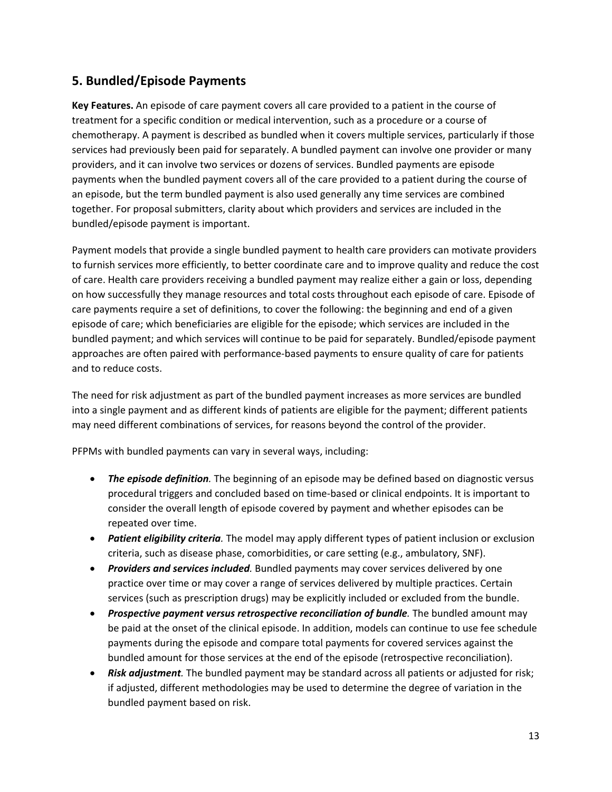## **5. Bundled/Episode Payments**

**Key Features.** An episode of care payment covers all care provided to a patient in the course of treatment for a specific condition or medical intervention, such as a procedure or a course of chemotherapy. A payment is described as bundled when it covers multiple services, particularly if those services had previously been paid for separately. A bundled payment can involve one provider or many providers, and it can involve two services or dozens of services. Bundled payments are episode payments when the bundled payment covers all of the care provided to a patient during the course of an episode, but the term bundled payment is also used generally any time services are combined together. For proposal submitters, clarity about which providers and services are included in the bundled/episode payment is important.

Payment models that provide a single bundled payment to health care providers can motivate providers to furnish services more efficiently, to better coordinate care and to improve quality and reduce the cost of care. Health care providers receiving a bundled payment may realize either a gain or loss, depending on how successfully they manage resources and total costs throughout each episode of care. Episode of care payments require a set of definitions, to cover the following: the beginning and end of a given episode of care; which beneficiaries are eligible for the episode; which services are included in the bundled payment; and which services will continue to be paid for separately. Bundled/episode payment approaches are often paired with performance-based payments to ensure quality of care for patients and to reduce costs.

The need for risk adjustment as part of the bundled payment increases as more services are bundled into a single payment and as different kinds of patients are eligible for the payment; different patients may need different combinations of services, for reasons beyond the control of the provider.

PFPMs with bundled payments can vary in several ways, including:

- *The episode definition.* The beginning of an episode may be defined based on diagnostic versus procedural triggers and concluded based on time-based or clinical endpoints. It is important to consider the overall length of episode covered by payment and whether episodes can be repeated over time.
- *Patient eligibility criteria.* The model may apply different types of patient inclusion or exclusion criteria, such as disease phase, comorbidities, or care setting (e.g., ambulatory, SNF).
- *Providers and services included*. Bundled payments may cover services delivered by one practice over time or may cover a range of services delivered by multiple practices. Certain services (such as prescription drugs) may be explicitly included or excluded from the bundle.
- *Prospective payment versus retrospective reconciliation of bundle.* The bundled amount may be paid at the onset of the clinical episode. In addition, models can continue to use fee schedule payments during the episode and compare total payments for covered services against the bundled amount for those services at the end of the episode (retrospective reconciliation).
- *Risk adjustment.* The bundled payment may be standard across all patients or adjusted for risk; if adjusted, different methodologies may be used to determine the degree of variation in the bundled payment based on risk.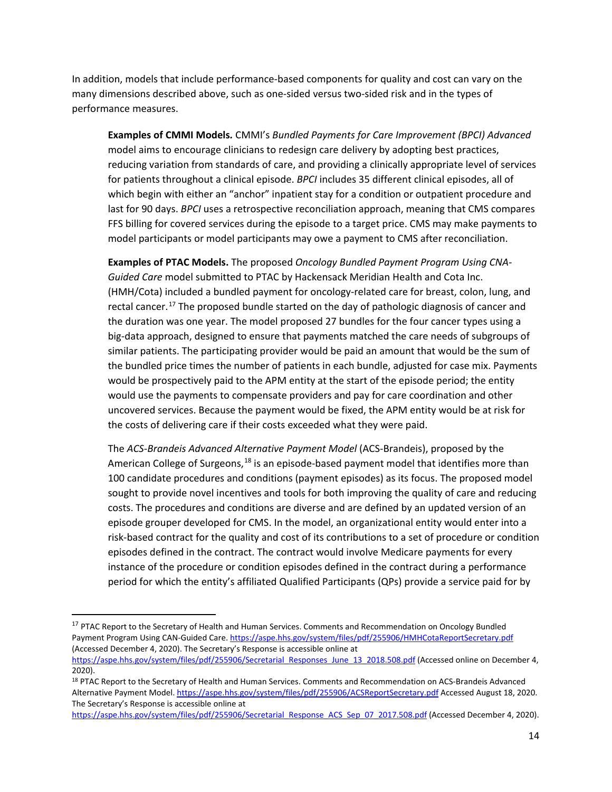In addition, models that include performance-based components for quality and cost can vary on the many dimensions described above, such as one-sided versus two-sided risk and in the types of performance measures.

**Examples of CMMI Models***.* CMMI's *Bundled Payments for Care Improvement (BPCI) Advanced*  model aims to encourage clinicians to redesign care delivery by adopting best practices, reducing variation from standards of care, and providing a clinically appropriate level of services for patients throughout a clinical episode. *BPCI* includes 35 different clinical episodes, all of which begin with either an "anchor" inpatient stay for a condition or outpatient procedure and last for 90 days. *BPCI* uses a retrospective reconciliation approach, meaning that CMS compares FFS billing for covered services during the episode to a target price. CMS may make payments to model participants or model participants may owe a payment to CMS after reconciliation.

**Examples of PTAC Models.** The proposed *Oncology Bundled Payment Program Using CNA-Guided Care* model submitted to PTAC by Hackensack Meridian Health and Cota Inc. (HMH/Cota) included a bundled payment for oncology-related care for breast, colon, lung, and rectal cancer.<sup>[17](#page-15-0)</sup> The proposed bundle started on the day of pathologic diagnosis of cancer and the duration was one year. The model proposed 27 bundles for the four cancer types using a big-data approach, designed to ensure that payments matched the care needs of subgroups of similar patients. The participating provider would be paid an amount that would be the sum of the bundled price times the number of patients in each bundle, adjusted for case mix. Payments would be prospectively paid to the APM entity at the start of the episode period; the entity would use the payments to compensate providers and pay for care coordination and other uncovered services. Because the payment would be fixed, the APM entity would be at risk for the costs of delivering care if their costs exceeded what they were paid.

The *ACS-Brandeis Advanced Alternative Payment Model* (ACS-Brandeis), proposed by the American College of Surgeons,<sup>[18](#page-15-1)</sup> is an episode-based payment model that identifies more than 100 candidate procedures and conditions (payment episodes) as its focus. The proposed model sought to provide novel incentives and tools for both improving the quality of care and reducing costs. The procedures and conditions are diverse and are defined by an updated version of an episode grouper developed for CMS. In the model, an organizational entity would enter into a risk-based contract for the quality and cost of its contributions to a set of procedure or condition episodes defined in the contract. The contract would involve Medicare payments for every instance of the procedure or condition episodes defined in the contract during a performance period for which the entity's affiliated Qualified Participants (QPs) provide a service paid for by

 $\overline{a}$ 

https://aspe.hhs.gov/system/files/pdf/255906/Secretarial Response ACS Sep 07 2017.508.pdf (Accessed December 4, 2020).

<span id="page-15-0"></span><sup>&</sup>lt;sup>17</sup> PTAC Report to the Secretary of Health and Human Services. Comments and Recommendation on Oncology Bundled Payment Program Using CAN-Guided Care[. https://aspe.hhs.gov/system/files/pdf/255906/HMHCotaReportSecretary.pdf](https://aspe.hhs.gov/system/files/pdf/255906/HMHCotaReportSecretary.pdf) (Accessed December 4, 2020). The Secretary's Response is accessible online at

https://aspe.hhs.gov/system/files/pdf/255906/Secretarial Responses June 13 2018.508.pdf (Accessed online on December 4, 2020).

<span id="page-15-1"></span><sup>&</sup>lt;sup>18</sup> PTAC Report to the Secretary of Health and Human Services. Comments and Recommendation on ACS-Brandeis Advanced Alternative Payment Model[. https://aspe.hhs.gov/system/files/pdf/255906/ACSReportSecretary.pdf](https://aspe.hhs.gov/system/files/pdf/255906/ACSReportSecretary.pdf) Accessed August 18, 2020. The Secretary's Response is accessible online at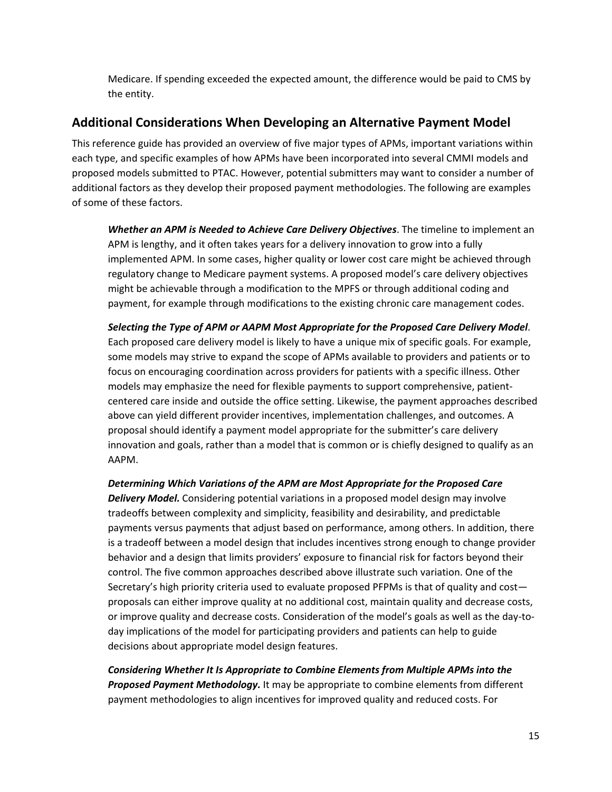Medicare. If spending exceeded the expected amount, the difference would be paid to CMS by the entity.

## <span id="page-16-0"></span>**Additional Considerations When Developing an Alternative Payment Model**

This reference guide has provided an overview of five major types of APMs, important variations within each type, and specific examples of how APMs have been incorporated into several CMMI models and proposed models submitted to PTAC. However, potential submitters may want to consider a number of additional factors as they develop their proposed payment methodologies. The following are examples of some of these factors.

*Whether an APM is Needed to Achieve Care Delivery Objectives*. The timeline to implement an APM is lengthy, and it often takes years for a delivery innovation to grow into a fully implemented APM. In some cases, higher quality or lower cost care might be achieved through regulatory change to Medicare payment systems. A proposed model's care delivery objectives might be achievable through a modification to the MPFS or through additional coding and payment, for example through modifications to the existing chronic care management codes.

*Selecting the Type of APM or AAPM Most Appropriate for the Proposed Care Delivery Model*. Each proposed care delivery model is likely to have a unique mix of specific goals. For example, some models may strive to expand the scope of APMs available to providers and patients or to focus on encouraging coordination across providers for patients with a specific illness. Other models may emphasize the need for flexible payments to support comprehensive, patientcentered care inside and outside the office setting. Likewise, the payment approaches described above can yield different provider incentives, implementation challenges, and outcomes. A proposal should identify a payment model appropriate for the submitter's care delivery innovation and goals, rather than a model that is common or is chiefly designed to qualify as an AAPM.

*Determining Which Variations of the APM are Most Appropriate for the Proposed Care Delivery Model.* Considering potential variations in a proposed model design may involve tradeoffs between complexity and simplicity, feasibility and desirability, and predictable payments versus payments that adjust based on performance, among others. In addition, there is a tradeoff between a model design that includes incentives strong enough to change provider behavior and a design that limits providers' exposure to financial risk for factors beyond their control. The five common approaches described above illustrate such variation. One of the Secretary's high priority criteria used to evaluate proposed PFPMs is that of quality and cost proposals can either improve quality at no additional cost, maintain quality and decrease costs, or improve quality and decrease costs. Consideration of the model's goals as well as the day-today implications of the model for participating providers and patients can help to guide decisions about appropriate model design features.

*Considering Whether It Is Appropriate to Combine Elements from Multiple APMs into the Proposed Payment Methodology.* It may be appropriate to combine elements from different payment methodologies to align incentives for improved quality and reduced costs. For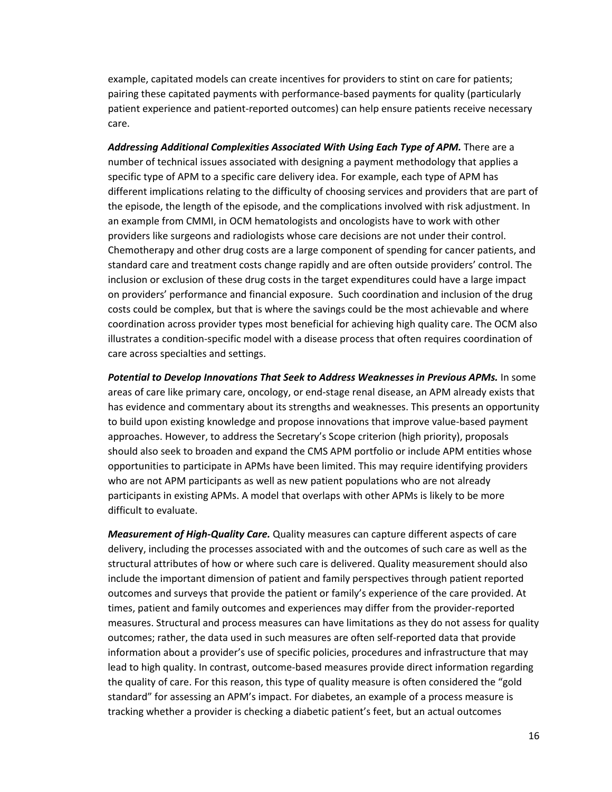example, capitated models can create incentives for providers to stint on care for patients; pairing these capitated payments with performance-based payments for quality (particularly patient experience and patient-reported outcomes) can help ensure patients receive necessary care.

*Addressing Additional Complexities Associated With Using Each Type of APM.* There are a number of technical issues associated with designing a payment methodology that applies a specific type of APM to a specific care delivery idea. For example, each type of APM has different implications relating to the difficulty of choosing services and providers that are part of the episode, the length of the episode, and the complications involved with risk adjustment. In an example from CMMI, in OCM hematologists and oncologists have to work with other providers like surgeons and radiologists whose care decisions are not under their control. Chemotherapy and other drug costs are a large component of spending for cancer patients, and standard care and treatment costs change rapidly and are often outside providers' control. The inclusion or exclusion of these drug costs in the target expenditures could have a large impact on providers' performance and financial exposure. Such coordination and inclusion of the drug costs could be complex, but that is where the savings could be the most achievable and where coordination across provider types most beneficial for achieving high quality care. The OCM also illustrates a condition-specific model with a disease process that often requires coordination of care across specialties and settings.

**Potential to Develop Innovations That Seek to Address Weaknesses in Previous APMs.** In some areas of care like primary care, oncology, or end-stage renal disease, an APM already exists that has evidence and commentary about its strengths and weaknesses. This presents an opportunity to build upon existing knowledge and propose innovations that improve value-based payment approaches. However, to address the Secretary's Scope criterion (high priority), proposals should also seek to broaden and expand the CMS APM portfolio or include APM entities whose opportunities to participate in APMs have been limited. This may require identifying providers who are not APM participants as well as new patient populations who are not already participants in existing APMs. A model that overlaps with other APMs is likely to be more difficult to evaluate.

*Measurement of High-Quality Care.* Quality measures can capture different aspects of care delivery, including the processes associated with and the outcomes of such care as well as the structural attributes of how or where such care is delivered. Quality measurement should also include the important dimension of patient and family perspectives through patient reported outcomes and surveys that provide the patient or family's experience of the care provided. At times, patient and family outcomes and experiences may differ from the provider-reported measures. Structural and process measures can have limitations as they do not assess for quality outcomes; rather, the data used in such measures are often self-reported data that provide information about a provider's use of specific policies, procedures and infrastructure that may lead to high quality. In contrast, outcome-based measures provide direct information regarding the quality of care. For this reason, this type of quality measure is often considered the "gold standard" for assessing an APM's impact. For diabetes, an example of a process measure is tracking whether a provider is checking a diabetic patient's feet, but an actual outcomes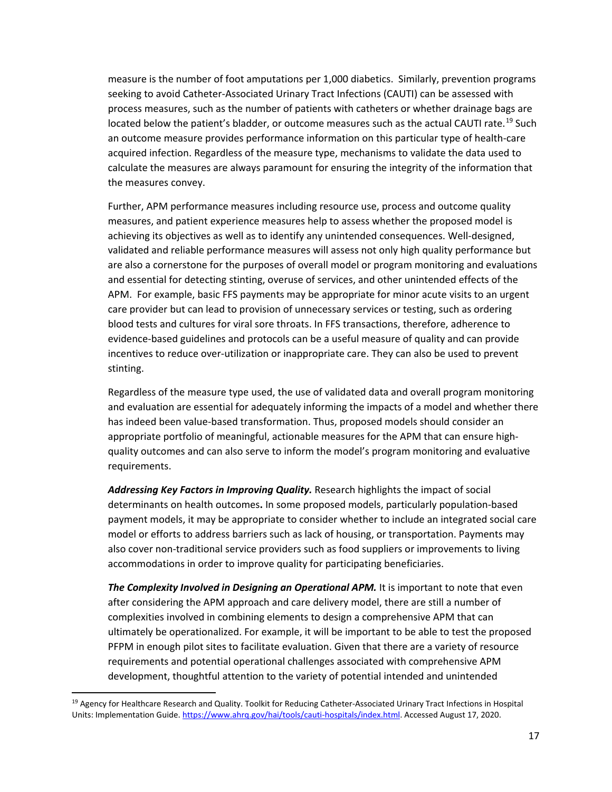measure is the number of foot amputations per 1,000 diabetics. Similarly, prevention programs seeking to avoid Catheter-Associated Urinary Tract Infections (CAUTI) can be assessed with process measures, such as the number of patients with catheters or whether drainage bags are located below the patient's bladder, or outcome measures such as the actual CAUTI rate.<sup>[19](#page-18-0)</sup> Such an outcome measure provides performance information on this particular type of health-care acquired infection. Regardless of the measure type, mechanisms to validate the data used to calculate the measures are always paramount for ensuring the integrity of the information that the measures convey.

Further, APM performance measures including resource use, process and outcome quality measures, and patient experience measures help to assess whether the proposed model is achieving its objectives as well as to identify any unintended consequences. Well-designed, validated and reliable performance measures will assess not only high quality performance but are also a cornerstone for the purposes of overall model or program monitoring and evaluations and essential for detecting stinting, overuse of services, and other unintended effects of the APM. For example, basic FFS payments may be appropriate for minor acute visits to an urgent care provider but can lead to provision of unnecessary services or testing, such as ordering blood tests and cultures for viral sore throats. In FFS transactions, therefore, adherence to evidence-based guidelines and protocols can be a useful measure of quality and can provide incentives to reduce over-utilization or inappropriate care. They can also be used to prevent stinting.

Regardless of the measure type used, the use of validated data and overall program monitoring and evaluation are essential for adequately informing the impacts of a model and whether there has indeed been value-based transformation. Thus, proposed models should consider an appropriate portfolio of meaningful, actionable measures for the APM that can ensure highquality outcomes and can also serve to inform the model's program monitoring and evaluative requirements.

*Addressing Key Factors in Improving Quality.* Research highlights the impact of social determinants on health outcomes**.** In some proposed models, particularly population-based payment models, it may be appropriate to consider whether to include an integrated social care model or efforts to address barriers such as lack of housing, or transportation. Payments may also cover non-traditional service providers such as food suppliers or improvements to living accommodations in order to improve quality for participating beneficiaries.

The Complexity Involved in Designing an Operational APM. It is important to note that even after considering the APM approach and care delivery model, there are still a number of complexities involved in combining elements to design a comprehensive APM that can ultimately be operationalized. For example, it will be important to be able to test the proposed PFPM in enough pilot sites to facilitate evaluation. Given that there are a variety of resource requirements and potential operational challenges associated with comprehensive APM development, thoughtful attention to the variety of potential intended and unintended

l

<span id="page-18-0"></span><sup>&</sup>lt;sup>19</sup> Agency for Healthcare Research and Quality. Toolkit for Reducing Catheter-Associated Urinary Tract Infections in Hospital Units: Implementation Guide[. https://www.ahrq.gov/hai/tools/cauti-hospitals/index.html.](https://www.ahrq.gov/hai/tools/cauti-hospitals/index.html) Accessed August 17, 2020.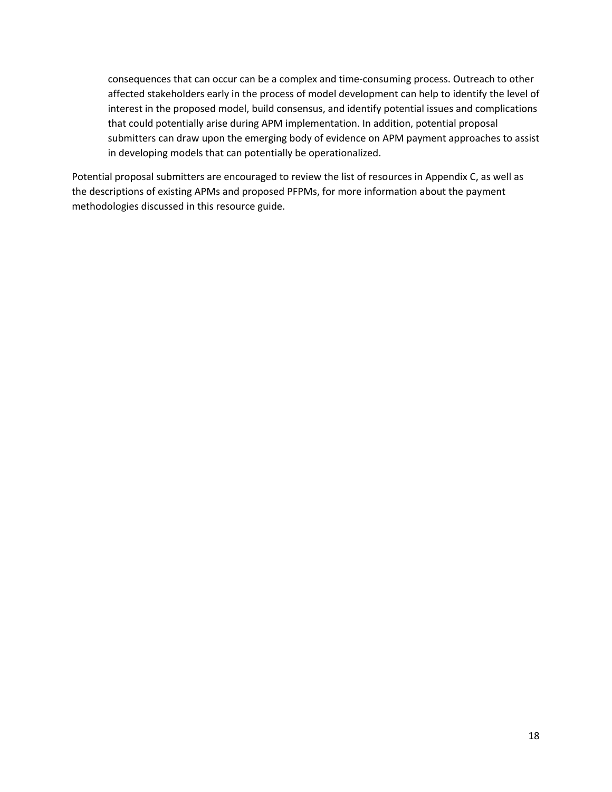consequences that can occur can be a complex and time-consuming process. Outreach to other affected stakeholders early in the process of model development can help to identify the level of interest in the proposed model, build consensus, and identify potential issues and complications that could potentially arise during APM implementation. In addition, potential proposal submitters can draw upon the emerging body of evidence on APM payment approaches to assist in developing models that can potentially be operationalized.

Potential proposal submitters are encouraged to review the list of resources in Appendix C, as well as the descriptions of existing APMs and proposed PFPMs, for more information about the payment methodologies discussed in this resource guide.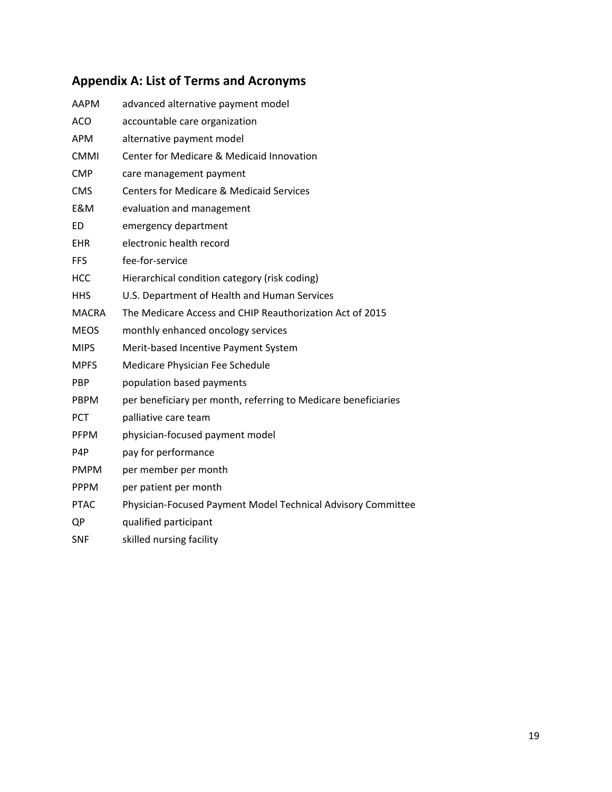# <span id="page-20-0"></span>**Appendix A: List of Terms and Acronyms**

| AAPM         | advanced alternative payment model                             |
|--------------|----------------------------------------------------------------|
| <b>ACO</b>   | accountable care organization                                  |
| <b>APM</b>   | alternative payment model                                      |
| <b>CMMI</b>  | Center for Medicare & Medicaid Innovation                      |
| <b>CMP</b>   | care management payment                                        |
| <b>CMS</b>   | <b>Centers for Medicare &amp; Medicaid Services</b>            |
| E&M          | evaluation and management                                      |
| <b>ED</b>    | emergency department                                           |
| <b>EHR</b>   | electronic health record                                       |
| <b>FFS</b>   | fee-for-service                                                |
| <b>HCC</b>   | Hierarchical condition category (risk coding)                  |
| <b>HHS</b>   | U.S. Department of Health and Human Services                   |
| <b>MACRA</b> | The Medicare Access and CHIP Reauthorization Act of 2015       |
| <b>MEOS</b>  | monthly enhanced oncology services                             |
| <b>MIPS</b>  | Merit-based Incentive Payment System                           |
| <b>MPFS</b>  | Medicare Physician Fee Schedule                                |
| <b>PBP</b>   | population based payments                                      |
| <b>PBPM</b>  | per beneficiary per month, referring to Medicare beneficiaries |
| <b>PCT</b>   | palliative care team                                           |
| <b>PFPM</b>  | physician-focused payment model                                |
| P4P          | pay for performance                                            |
| <b>PMPM</b>  | per member per month                                           |
| <b>PPPM</b>  | per patient per month                                          |
| <b>PTAC</b>  | Physician-Focused Payment Model Technical Advisory Committee   |
| QP           | qualified participant                                          |
|              |                                                                |

SNF skilled nursing facility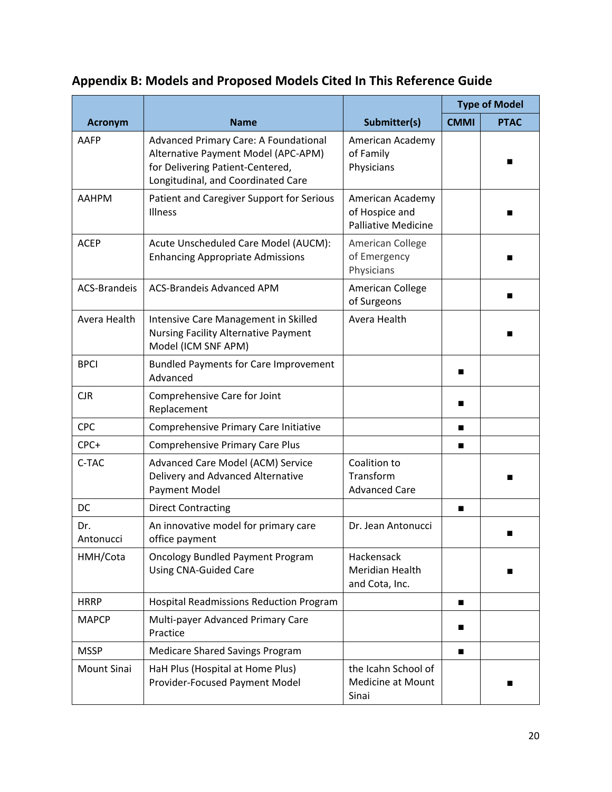# <span id="page-21-0"></span>**Appendix B: Models and Proposed Models Cited In This Reference Guide**

|                     |                                                                                                                                                        |                                                                  | <b>Type of Model</b> |             |
|---------------------|--------------------------------------------------------------------------------------------------------------------------------------------------------|------------------------------------------------------------------|----------------------|-------------|
| <b>Acronym</b>      | <b>Name</b>                                                                                                                                            | Submitter(s)                                                     | <b>CMMI</b>          | <b>PTAC</b> |
| AAFP                | Advanced Primary Care: A Foundational<br>Alternative Payment Model (APC-APM)<br>for Delivering Patient-Centered,<br>Longitudinal, and Coordinated Care | American Academy<br>of Family<br>Physicians                      |                      |             |
| <b>AAHPM</b>        | Patient and Caregiver Support for Serious<br>Illness                                                                                                   | American Academy<br>of Hospice and<br><b>Palliative Medicine</b> |                      |             |
| <b>ACEP</b>         | Acute Unscheduled Care Model (AUCM):<br><b>Enhancing Appropriate Admissions</b>                                                                        | American College<br>of Emergency<br>Physicians                   |                      |             |
| <b>ACS-Brandeis</b> | <b>ACS-Brandeis Advanced APM</b>                                                                                                                       | American College<br>of Surgeons                                  |                      |             |
| Avera Health        | Intensive Care Management in Skilled<br><b>Nursing Facility Alternative Payment</b><br>Model (ICM SNF APM)                                             | Avera Health                                                     |                      |             |
| <b>BPCI</b>         | <b>Bundled Payments for Care Improvement</b><br>Advanced                                                                                               |                                                                  | ■                    |             |
| <b>CJR</b>          | Comprehensive Care for Joint<br>Replacement                                                                                                            |                                                                  | ■                    |             |
| <b>CPC</b>          | Comprehensive Primary Care Initiative                                                                                                                  |                                                                  | ■                    |             |
| CPC+                | <b>Comprehensive Primary Care Plus</b>                                                                                                                 |                                                                  | ■                    |             |
| C-TAC               | Advanced Care Model (ACM) Service<br>Delivery and Advanced Alternative<br>Payment Model                                                                | Coalition to<br>Transform<br><b>Advanced Care</b>                |                      |             |
| <b>DC</b>           | <b>Direct Contracting</b>                                                                                                                              |                                                                  | ■                    |             |
| Dr.<br>Antonucci    | An innovative model for primary care<br>office payment                                                                                                 | Dr. Jean Antonucci                                               |                      |             |
| HMH/Cota            | <b>Oncology Bundled Payment Program</b><br><b>Using CNA-Guided Care</b>                                                                                | Hackensack<br>Meridian Health<br>and Cota, Inc.                  |                      |             |
| <b>HRRP</b>         | <b>Hospital Readmissions Reduction Program</b>                                                                                                         |                                                                  | ■                    |             |
| <b>MAPCP</b>        | Multi-payer Advanced Primary Care<br>Practice                                                                                                          |                                                                  |                      |             |
| <b>MSSP</b>         | <b>Medicare Shared Savings Program</b>                                                                                                                 |                                                                  | ■                    |             |
| Mount Sinai         | HaH Plus (Hospital at Home Plus)<br>Provider-Focused Payment Model                                                                                     | the Icahn School of<br><b>Medicine at Mount</b><br>Sinai         |                      |             |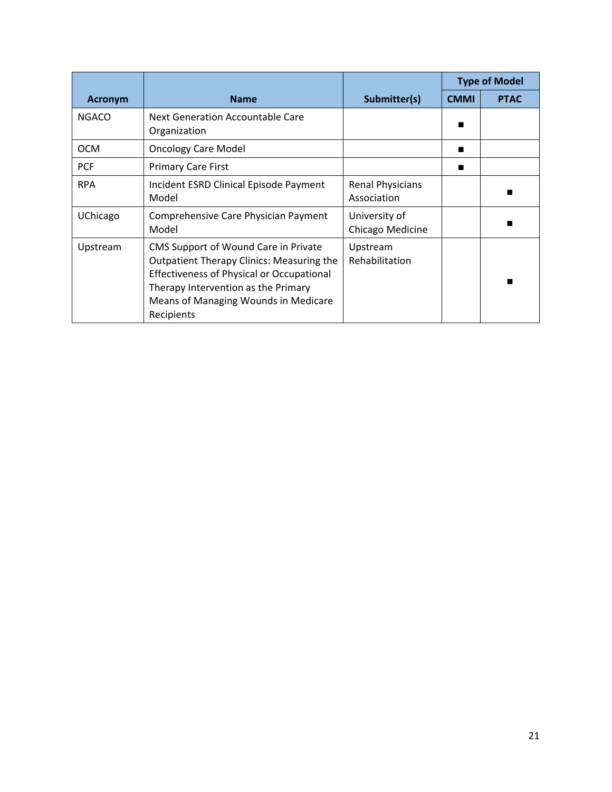|                |                                                                                                                                                                                                                                           |                                        | <b>Type of Model</b> |             |
|----------------|-------------------------------------------------------------------------------------------------------------------------------------------------------------------------------------------------------------------------------------------|----------------------------------------|----------------------|-------------|
| <b>Acronym</b> | <b>Name</b>                                                                                                                                                                                                                               | Submitter(s)                           | <b>CMMI</b>          | <b>PTAC</b> |
| <b>NGACO</b>   | Next Generation Accountable Care<br>Organization                                                                                                                                                                                          |                                        |                      |             |
| <b>OCM</b>     | <b>Oncology Care Model</b>                                                                                                                                                                                                                |                                        | ■                    |             |
| <b>PCF</b>     | <b>Primary Care First</b>                                                                                                                                                                                                                 |                                        | ■                    |             |
| <b>RPA</b>     | Incident ESRD Clinical Episode Payment<br>Model                                                                                                                                                                                           | <b>Renal Physicians</b><br>Association |                      |             |
| UChicago       | Comprehensive Care Physician Payment<br>Model                                                                                                                                                                                             | University of<br>Chicago Medicine      |                      |             |
| Upstream       | CMS Support of Wound Care in Private<br><b>Outpatient Therapy Clinics: Measuring the</b><br><b>Effectiveness of Physical or Occupational</b><br>Therapy Intervention as the Primary<br>Means of Managing Wounds in Medicare<br>Recipients | Upstream<br>Rehabilitation             |                      |             |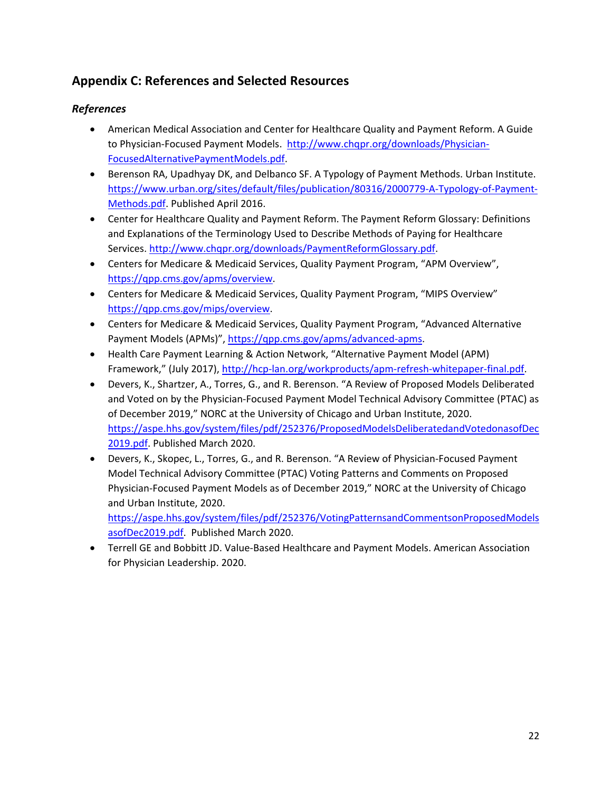# <span id="page-23-0"></span>**Appendix C: References and Selected Resources**

### *References*

- American Medical Association and Center for Healthcare Quality and Payment Reform. A Guide to Physician-Focused Payment Models. [http://www.chqpr.org/downloads/Physician-](http://www.chqpr.org/downloads/Physician-FocusedAlternativePaymentModels.pdf)[FocusedAlternativePaymentModels.pdf.](http://www.chqpr.org/downloads/Physician-FocusedAlternativePaymentModels.pdf)
- Berenson RA, Upadhyay DK, and Delbanco SF. A Typology of Payment Methods. Urban Institute. [https://www.urban.org/sites/default/files/publication/80316/2000779-A-Typology-of-Payment-](https://www.urban.org/sites/default/files/publication/80316/2000779-A-Typology-of-Payment-Methods.pdf)[Methods.pdf.](https://www.urban.org/sites/default/files/publication/80316/2000779-A-Typology-of-Payment-Methods.pdf) Published April 2016.
- Center for Healthcare Quality and Payment Reform. The Payment Reform Glossary: Definitions and Explanations of the Terminology Used to Describe Methods of Paying for Healthcare Services. [http://www.chqpr.org/downloads/PaymentReformGlossary.pdf.](http://www.chqpr.org/downloads/PaymentReformGlossary.pdf)
- Centers for Medicare & Medicaid Services, Quality Payment Program, "APM Overview", [https://qpp.cms.gov/apms/overview.](https://qpp.cms.gov/apms/overview)
- Centers for Medicare & Medicaid Services, Quality Payment Program, "MIPS Overview" [https://qpp.cms.gov/mips/overview.](https://qpp.cms.gov/mips/overview)
- Centers for Medicare & Medicaid Services, Quality Payment Program, "Advanced Alternative Payment Models (APMs)", [https://qpp.cms.gov/apms/advanced-apms.](https://qpp.cms.gov/apms/advanced-apms)
- Health Care Payment Learning & Action Network, "Alternative Payment Model (APM) Framework," (July 2017), [http://hcp-lan.org/workproducts/apm-refresh-whitepaper-final.pdf.](http://hcp-lan.org/workproducts/apm-refresh-whitepaper-final.pdf)
- Devers, K., Shartzer, A., Torres, G., and R. Berenson. "A Review of Proposed Models Deliberated and Voted on by the Physician-Focused Payment Model Technical Advisory Committee (PTAC) as of December 2019," NORC at the University of Chicago and Urban Institute, 2020. [https://aspe.hhs.gov/system/files/pdf/252376/ProposedModelsDeliberatedandVotedonasofDec](https://aspe.hhs.gov/system/files/pdf/252376/ProposedModelsDeliberatedandVotedonasofDec2019.pdf) [2019.pdf.](https://aspe.hhs.gov/system/files/pdf/252376/ProposedModelsDeliberatedandVotedonasofDec2019.pdf) Published March 2020.
- Devers, K., Skopec, L., Torres, G., and R. Berenson. "A Review of Physician-Focused Payment Model Technical Advisory Committee (PTAC) Voting Patterns and Comments on Proposed Physician-Focused Payment Models as of December 2019," NORC at the University of Chicago and Urban Institute, 2020.

[https://aspe.hhs.gov/system/files/pdf/252376/VotingPatternsandCommentsonProposedModels](https://aspe.hhs.gov/system/files/pdf/252376/VotingPatternsandCommentsonProposedModelsasofDec2019.pdf) [asofDec2019.pdf.](https://aspe.hhs.gov/system/files/pdf/252376/VotingPatternsandCommentsonProposedModelsasofDec2019.pdf) Published March 2020.

• Terrell GE and Bobbitt JD. Value-Based Healthcare and Payment Models. American Association for Physician Leadership. 2020.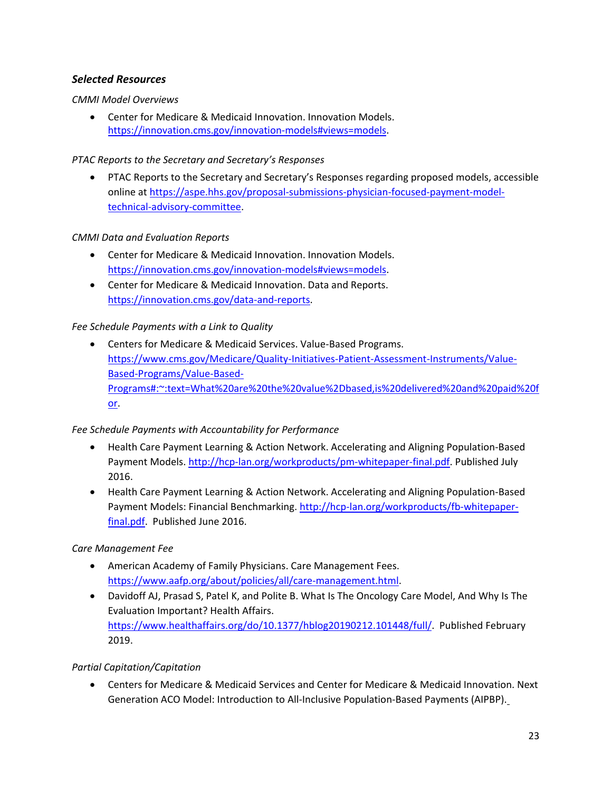### *Selected Resources*

*CMMI Model Overviews*

• Center for Medicare & Medicaid Innovation. Innovation Models. [https://innovation.cms.gov/innovation-models#views=models.](https://innovation.cms.gov/innovation-models#views=models)

### *PTAC Reports to the Secretary and Secretary's Responses*

• PTAC Reports to the Secretary and Secretary's Responses regarding proposed models, accessible online at [https://aspe.hhs.gov/proposal-submissions-physician-focused-payment-model](https://aspe.hhs.gov/proposal-submissions-physician-focused-payment-model-technical-advisory-committee)[technical-advisory-committee.](https://aspe.hhs.gov/proposal-submissions-physician-focused-payment-model-technical-advisory-committee)

### *CMMI Data and Evaluation Reports*

- Center for Medicare & Medicaid Innovation. Innovation Models. [https://innovation.cms.gov/innovation-models#views=models.](https://innovation.cms.gov/innovation-models#views=models)
- Center for Medicare & Medicaid Innovation. Data and Reports. [https://innovation.cms.gov/data-and-reports.](https://innovation.cms.gov/data-and-reports)

### *Fee Schedule Payments with a Link to Quality*

• Centers for Medicare & Medicaid Services. Value-Based Programs. [https://www.cms.gov/Medicare/Quality-Initiatives-Patient-Assessment-Instruments/Value-](https://www.cms.gov/Medicare/Quality-Initiatives-Patient-Assessment-Instruments/Value-Based-Programs/Value-Based-Programs#:%7E:text=What%20are%20the%20value%2Dbased,is%20delivered%20and%20paid%20for)[Based-Programs/Value-Based-](https://www.cms.gov/Medicare/Quality-Initiatives-Patient-Assessment-Instruments/Value-Based-Programs/Value-Based-Programs#:%7E:text=What%20are%20the%20value%2Dbased,is%20delivered%20and%20paid%20for)[Programs#:~:text=What%20are%20the%20value%2Dbased,is%20delivered%20and%20paid%20f](https://www.cms.gov/Medicare/Quality-Initiatives-Patient-Assessment-Instruments/Value-Based-Programs/Value-Based-Programs#:%7E:text=What%20are%20the%20value%2Dbased,is%20delivered%20and%20paid%20for) [or.](https://www.cms.gov/Medicare/Quality-Initiatives-Patient-Assessment-Instruments/Value-Based-Programs/Value-Based-Programs#:%7E:text=What%20are%20the%20value%2Dbased,is%20delivered%20and%20paid%20for)

### *Fee Schedule Payments with Accountability for Performance*

- Health Care Payment Learning & Action Network. Accelerating and Aligning Population-Based Payment Models[. http://hcp-lan.org/workproducts/pm-whitepaper-final.pdf.](http://hcp-lan.org/workproducts/pm-whitepaper-final.pdf) Published July 2016.
- Health Care Payment Learning & Action Network. Accelerating and Aligning Population-Based Payment Models: Financial Benchmarking. [http://hcp-lan.org/workproducts/fb-whitepaper](http://hcp-lan.org/workproducts/fb-whitepaper-final.pdf)[final.pdf.](http://hcp-lan.org/workproducts/fb-whitepaper-final.pdf) Published June 2016.

#### *Care Management Fee*

- American Academy of Family Physicians. Care Management Fees. [https://www.aafp.org/about/policies/all/care-management.html.](https://www.aafp.org/about/policies/all/care-management.html)
- Davidoff AJ, Prasad S, Patel K, and Polite B. What Is The Oncology Care Model, And Why Is The Evaluation Important? Health Affairs. [https://www.healthaffairs.org/do/10.1377/hblog20190212.101448/full/.](https://www.healthaffairs.org/do/10.1377/hblog20190212.101448/full/) Published February 2019.

#### *Partial Capitation/Capitation*

• Centers for Medicare & Medicaid Services and Center for Medicare & Medicaid Innovation. Next Generation ACO Model: Introduction to All-Inclusive Population-Based Payments (AIPBP).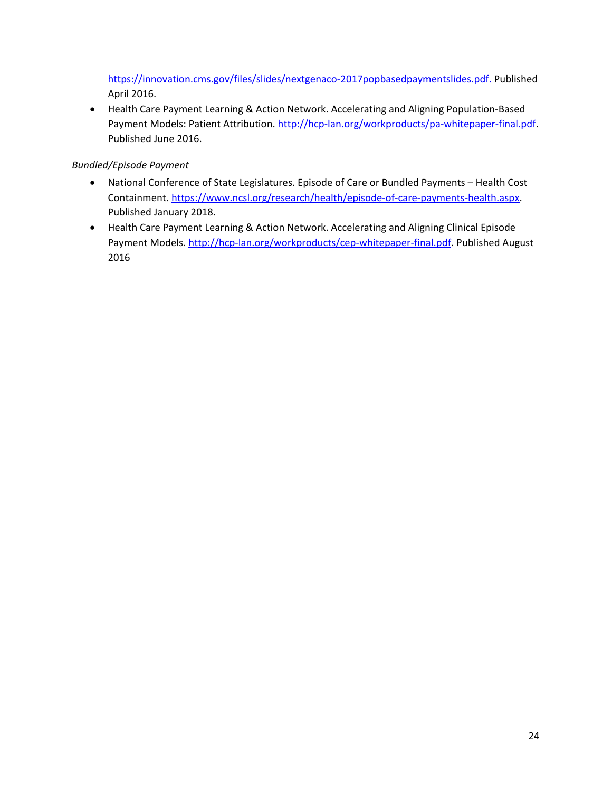[https://innovation.cms.gov/files/slides/nextgenaco-2017popbasedpaymentslides.pdf.](https://innovation.cms.gov/files/slides/nextgenaco-2017popbasedpaymentslides.pdf) Published April 2016.

• Health Care Payment Learning & Action Network. Accelerating and Aligning Population-Based Payment Models: Patient Attribution. [http://hcp-lan.org/workproducts/pa-whitepaper-final.pdf.](http://hcp-lan.org/workproducts/pa-whitepaper-final.pdf) Published June 2016.

### *Bundled/Episode Payment*

- National Conference of State Legislatures. Episode of Care or Bundled Payments Health Cost Containment. [https://www.ncsl.org/research/health/episode-of-care-payments-health.aspx.](https://www.ncsl.org/research/health/episode-of-care-payments-health.aspx) Published January 2018.
- Health Care Payment Learning & Action Network. Accelerating and Aligning Clinical Episode Payment Models[. http://hcp-lan.org/workproducts/cep-whitepaper-final.pdf.](http://hcp-lan.org/workproducts/cep-whitepaper-final.pdf) Published August 2016